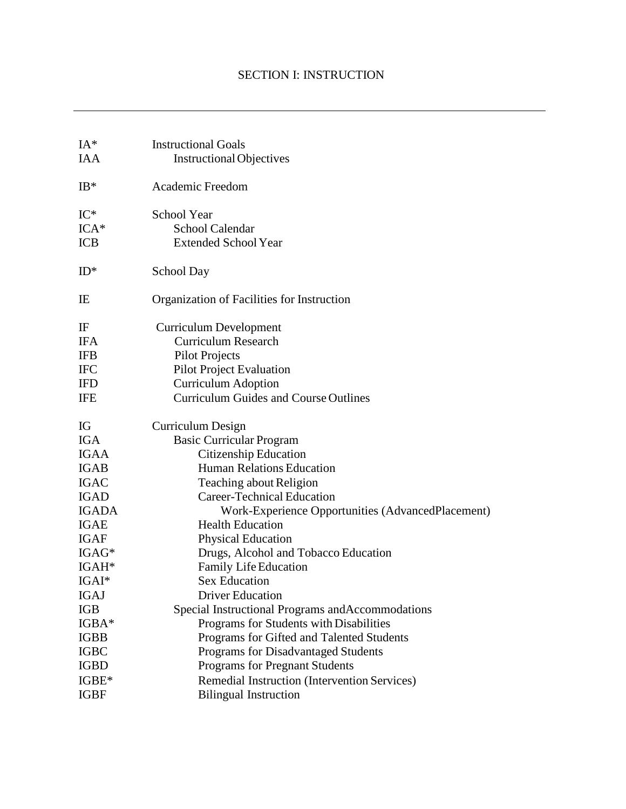| $IA*$             | <b>Instructional Goals</b>                        |
|-------------------|---------------------------------------------------|
| <b>IAA</b>        | <b>Instructional Objectives</b>                   |
|                   |                                                   |
| $IB*$             | Academic Freedom                                  |
| $IC^*$            | <b>School Year</b>                                |
| $ICA*$            | <b>School Calendar</b>                            |
| <b>ICB</b>        | <b>Extended School Year</b>                       |
| $ID^*$            | School Day                                        |
| IE                | Organization of Facilities for Instruction        |
| IF                | <b>Curriculum Development</b>                     |
| <b>IFA</b>        | <b>Curriculum Research</b>                        |
| <b>IFB</b>        | <b>Pilot Projects</b>                             |
| <b>IFC</b>        | <b>Pilot Project Evaluation</b>                   |
| <b>IFD</b>        | <b>Curriculum Adoption</b>                        |
| IFE               | <b>Curriculum Guides and Course Outlines</b>      |
| IG                | Curriculum Design                                 |
| <b>IGA</b>        | <b>Basic Curricular Program</b>                   |
| <b>IGAA</b>       | Citizenship Education                             |
| <b>IGAB</b>       | <b>Human Relations Education</b>                  |
| <b>IGAC</b>       | <b>Teaching about Religion</b>                    |
| <b>IGAD</b>       | <b>Career-Technical Education</b>                 |
| <b>IGADA</b>      | Work-Experience Opportunities (AdvancedPlacement) |
| <b>IGAE</b>       | <b>Health Education</b>                           |
| <b>IGAF</b>       | <b>Physical Education</b>                         |
| $IGAG*$           | Drugs, Alcohol and Tobacco Education              |
| IGAH <sup>*</sup> | Family Life Education                             |
| $IGAI*$           | <b>Sex Education</b>                              |
| IGAJ              | <b>Driver Education</b>                           |
| IGB               | Special Instructional Programs and Accommodations |
| IGBA*             | Programs for Students with Disabilities           |
| <b>IGBB</b>       | Programs for Gifted and Talented Students         |
| <b>IGBC</b>       | Programs for Disadvantaged Students               |
| <b>IGBD</b>       | Programs for Pregnant Students                    |
| IGBE*             | Remedial Instruction (Intervention Services)      |
| <b>IGBF</b>       | <b>Bilingual Instruction</b>                      |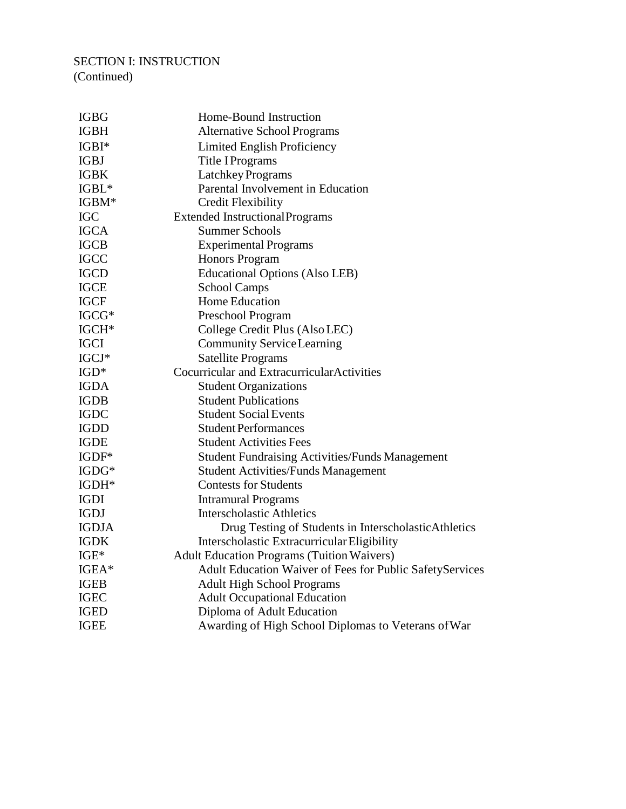#### SECTION I: INSTRUCTION (Continued)

IGBG Home-Bound Instruction IGBH Alternative School Programs IGBI\* Limited English Proficiency IGBJ Title IPrograms IGBK LatchkeyPrograms IGBL\* Parental Involvement in Education IGBM\* Credit Flexibility IGC Extended InstructionalPrograms IGCA Summer Schools IGCB Experimental Programs IGCC Honors Program IGCD Educational Options (Also LEB) IGCE School Camps IGCF Home Education IGCG\* Preschool Program IGCH\* College Credit Plus (AlsoLEC) IGCI Community ServiceLearning IGCJ\* Satellite Programs IGD\* Cocurricular and ExtracurricularActivities IGDA Student Organizations IGDB Student Publications IGDC Student SocialEvents IGDD Student Performances IGDE Student Activities Fees IGDF\* Student Fundraising Activities/Funds Management IGDG\* Student Activities/Funds Management IGDH\* Contests for Students IGDI Intramural Programs IGDJ Interscholastic Athletics IGDJA Drug Testing of Students in InterscholasticAthletics IGDK Interscholastic ExtracurricularEligibility IGE\* Adult Education Programs (TuitionWaivers) IGEA\* Adult Education Waiver of Fees for Public SafetyServices IGEB Adult High School Programs IGEC Adult Occupational Education IGED Diploma of Adult Education IGEE Awarding of High School Diplomas to Veterans ofWar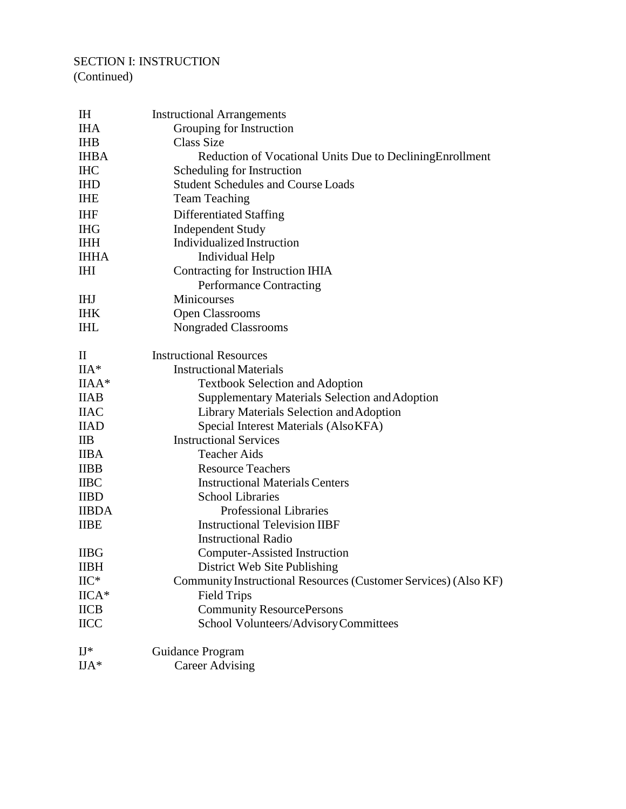## SECTION I: INSTRUCTION

(Continued)

| $H$                             | <b>Instructional Arrangements</b>                               |
|---------------------------------|-----------------------------------------------------------------|
| <b>IHA</b>                      | Grouping for Instruction                                        |
| <b>IHB</b>                      | <b>Class Size</b>                                               |
| <b>IHBA</b>                     | Reduction of Vocational Units Due to Declining Enrollment       |
| <b>IHC</b>                      | Scheduling for Instruction                                      |
| <b>IHD</b>                      | <b>Student Schedules and Course Loads</b>                       |
| <b>IHE</b>                      | <b>Team Teaching</b>                                            |
| <b>IHF</b>                      | <b>Differentiated Staffing</b>                                  |
| <b>IHG</b>                      | <b>Independent Study</b>                                        |
| <b>IHH</b>                      | Individualized Instruction                                      |
| <b>IHHA</b>                     | <b>Individual Help</b>                                          |
| <b>IHI</b>                      | Contracting for Instruction IHIA                                |
|                                 | Performance Contracting                                         |
| <b>IHJ</b>                      | Minicourses                                                     |
| <b>IHK</b>                      | <b>Open Classrooms</b>                                          |
| <b>IHL</b>                      | Nongraded Classrooms                                            |
|                                 |                                                                 |
| $\mathop{\mathrm{II}}\nolimits$ | <b>Instructional Resources</b>                                  |
| $IIA*$                          | <b>Instructional Materials</b>                                  |
| $IIAA*$                         | <b>Textbook Selection and Adoption</b>                          |
| <b>IIAB</b>                     | Supplementary Materials Selection and Adoption                  |
| <b>IIAC</b>                     | Library Materials Selection and Adoption                        |
| <b>IIAD</b>                     | Special Interest Materials (AlsoKFA)                            |
| $_{\text{IIB}}$                 | <b>Instructional Services</b>                                   |
| <b>IIBA</b>                     | <b>Teacher Aids</b>                                             |
| <b>IIBB</b>                     | <b>Resource Teachers</b>                                        |
| <b>IIBC</b>                     | <b>Instructional Materials Centers</b>                          |
| <b>IIBD</b>                     | <b>School Libraries</b>                                         |
| <b>IIBDA</b>                    | <b>Professional Libraries</b>                                   |
| <b>IIBE</b>                     | <b>Instructional Television IIBF</b>                            |
|                                 | <b>Instructional Radio</b>                                      |
| <b>IIBG</b>                     | Computer-Assisted Instruction                                   |
| <b>IIBH</b>                     | District Web Site Publishing                                    |
| $\rm{HC^*}$                     | Community Instructional Resources (Customer Services) (Also KF) |
| $IICA*$                         |                                                                 |
|                                 | <b>Field Trips</b>                                              |
| <b>IICB</b>                     | <b>Community ResourcePersons</b>                                |
| <b>IICC</b>                     | School Volunteers/AdvisoryCommittees                            |
| $II^*$                          | Guidance Program                                                |
| $\rm IJA^*$                     | <b>Career Advising</b>                                          |
|                                 |                                                                 |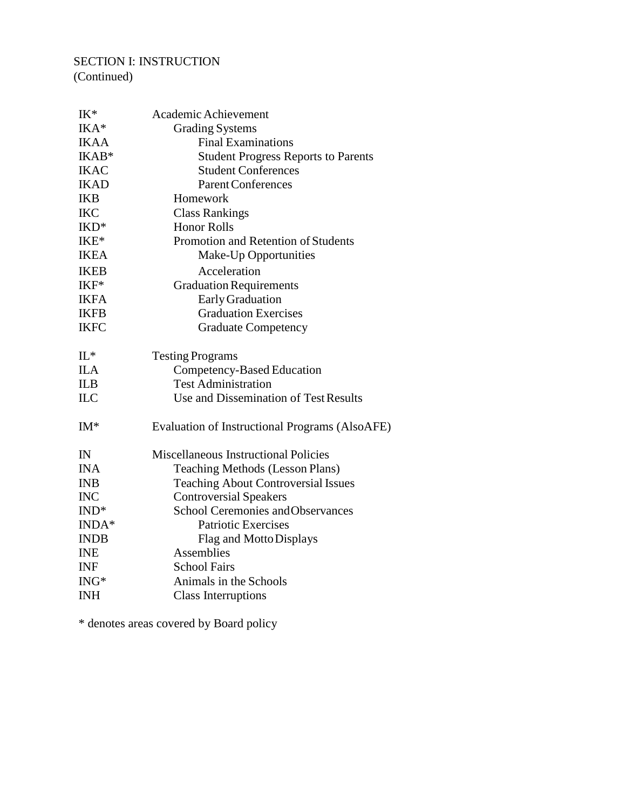# SECTION I: INSTRUCTION

(Continued)

| IK*         | Academic Achievement                           |
|-------------|------------------------------------------------|
| IKA*        | <b>Grading Systems</b>                         |
| <b>IKAA</b> | <b>Final Examinations</b>                      |
| IKAB*       | <b>Student Progress Reports to Parents</b>     |
| <b>IKAC</b> | <b>Student Conferences</b>                     |
| <b>IKAD</b> | <b>Parent Conferences</b>                      |
| <b>IKB</b>  | Homework                                       |
| <b>IKC</b>  | <b>Class Rankings</b>                          |
| IKD*        | <b>Honor Rolls</b>                             |
| IKE*        | Promotion and Retention of Students            |
| <b>IKEA</b> | Make-Up Opportunities                          |
| <b>IKEB</b> | Acceleration                                   |
| IKF*        | <b>Graduation Requirements</b>                 |
| <b>IKFA</b> | Early Graduation                               |
| <b>IKFB</b> | <b>Graduation Exercises</b>                    |
| <b>IKFC</b> | <b>Graduate Competency</b>                     |
| $IL^*$      | <b>Testing Programs</b>                        |
| <b>ILA</b>  | Competency-Based Education                     |
| <b>ILB</b>  | <b>Test Administration</b>                     |
| <b>ILC</b>  | Use and Dissemination of Test Results          |
| $IM*$       | Evaluation of Instructional Programs (AlsoAFE) |
| IN          | <b>Miscellaneous Instructional Policies</b>    |
| <b>INA</b>  | <b>Teaching Methods (Lesson Plans)</b>         |
| <b>INB</b>  | <b>Teaching About Controversial Issues</b>     |
| <b>INC</b>  | <b>Controversial Speakers</b>                  |
| $IND^*$     | <b>School Ceremonies and Observances</b>       |
| INDA*       | <b>Patriotic Exercises</b>                     |
| <b>INDB</b> | Flag and Motto Displays                        |
| <b>INE</b>  | Assemblies                                     |
| <b>INF</b>  | <b>School Fairs</b>                            |
| $ING*$      | Animals in the Schools                         |
| <b>INH</b>  | <b>Class Interruptions</b>                     |

\* denotes areas covered by Board policy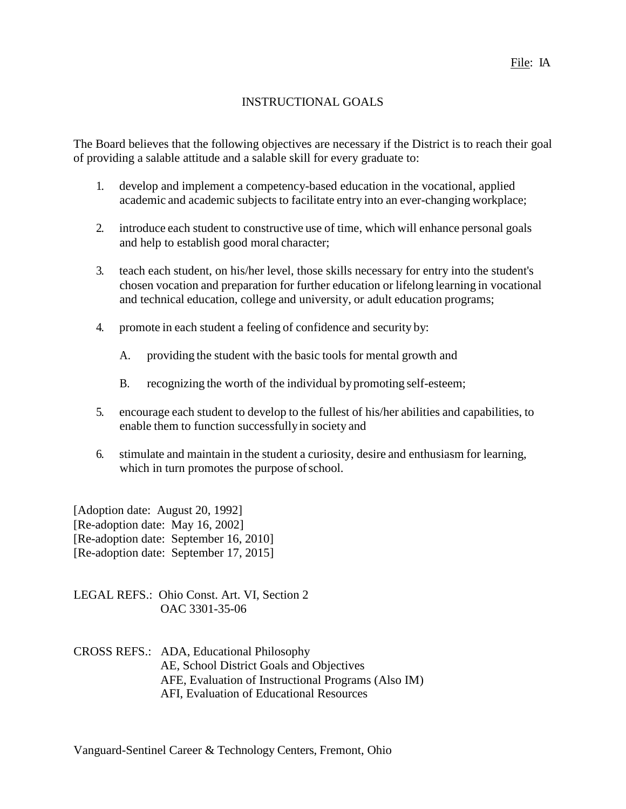## INSTRUCTIONAL GOALS

The Board believes that the following objectives are necessary if the District is to reach their goal of providing a salable attitude and a salable skill for every graduate to:

- 1. develop and implement a competency-based education in the vocational, applied academic and academic subjects to facilitate entry into an ever-changing workplace;
- 2. introduce each student to constructive use of time, which will enhance personal goals and help to establish good moral character;
- 3. teach each student, on his/her level, those skills necessary for entry into the student's chosen vocation and preparation for further education or lifelong learning in vocational and technical education, college and university, or adult education programs;
- 4. promote in each student a feeling of confidence and security by:
	- A. providing the student with the basic tools for mental growth and
	- B. recognizing the worth of the individual by promoting self-esteem;
- 5. encourage each student to develop to the fullest of his/her abilities and capabilities, to enable them to function successfullyin society and
- 6. stimulate and maintain in the student a curiosity, desire and enthusiasm for learning, which in turn promotes the purpose of school.

[Adoption date: August 20, 1992] [Re-adoption date: May 16, 2002] [Re-adoption date: September 16, 2010] [Re-adoption date: September 17, 2015]

LEGAL REFS.: Ohio Const. Art. VI, Section 2 OAC 3301-35-06

CROSS REFS.: ADA, Educational Philosophy AE, School District Goals and Objectives AFE, Evaluation of Instructional Programs (Also IM) AFI, Evaluation of Educational Resources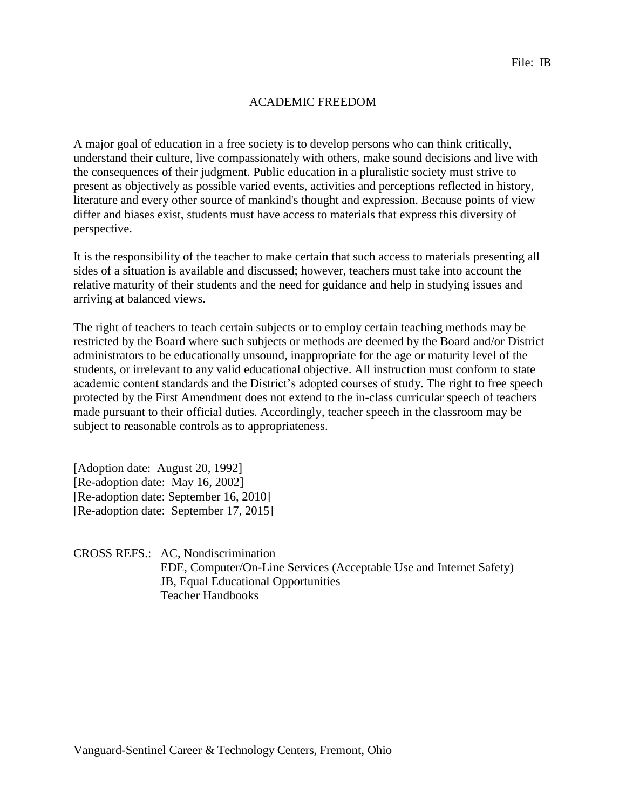#### ACADEMIC FREEDOM

A major goal of education in a free society is to develop persons who can think critically, understand their culture, live compassionately with others, make sound decisions and live with the consequences of their judgment. Public education in a pluralistic society must strive to present as objectively as possible varied events, activities and perceptions reflected in history, literature and every other source of mankind's thought and expression. Because points of view differ and biases exist, students must have access to materials that express this diversity of perspective.

It is the responsibility of the teacher to make certain that such access to materials presenting all sides of a situation is available and discussed; however, teachers must take into account the relative maturity of their students and the need for guidance and help in studying issues and arriving at balanced views.

The right of teachers to teach certain subjects or to employ certain teaching methods may be restricted by the Board where such subjects or methods are deemed by the Board and/or District administrators to be educationally unsound, inappropriate for the age or maturity level of the students, or irrelevant to any valid educational objective. All instruction must conform to state academic content standards and the District's adopted courses of study. The right to free speech protected by the First Amendment does not extend to the in-class curricular speech of teachers made pursuant to their official duties. Accordingly, teacher speech in the classroom may be subject to reasonable controls as to appropriateness.

[Adoption date: August 20, 1992] [Re-adoption date: May 16, 2002] [Re-adoption date: September 16, 2010] [Re-adoption date: September 17, 2015]

CROSS REFS.: AC, Nondiscrimination EDE, Computer/On-Line Services (Acceptable Use and Internet Safety) JB, Equal Educational Opportunities Teacher Handbooks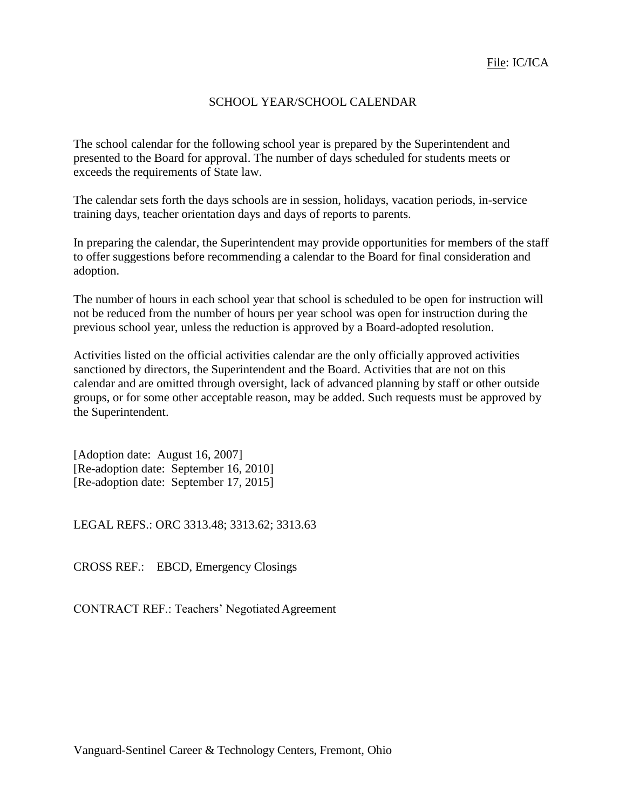#### SCHOOL YEAR/SCHOOL CALENDAR

The school calendar for the following school year is prepared by the Superintendent and presented to the Board for approval. The number of days scheduled for students meets or exceeds the requirements of State law.

The calendar sets forth the days schools are in session, holidays, vacation periods, in-service training days, teacher orientation days and days of reports to parents.

In preparing the calendar, the Superintendent may provide opportunities for members of the staff to offer suggestions before recommending a calendar to the Board for final consideration and adoption.

The number of hours in each school year that school is scheduled to be open for instruction will not be reduced from the number of hours per year school was open for instruction during the previous school year, unless the reduction is approved by a Board-adopted resolution.

Activities listed on the official activities calendar are the only officially approved activities sanctioned by directors, the Superintendent and the Board. Activities that are not on this calendar and are omitted through oversight, lack of advanced planning by staff or other outside groups, or for some other acceptable reason, may be added. Such requests must be approved by the Superintendent.

[Adoption date: August 16, 2007] [Re-adoption date: September 16, 2010] [Re-adoption date: September 17, 2015]

LEGAL REFS.: ORC 3313.48; 3313.62; 3313.63

CROSS REF.: EBCD, Emergency Closings

CONTRACT REF.: Teachers' Negotiated Agreement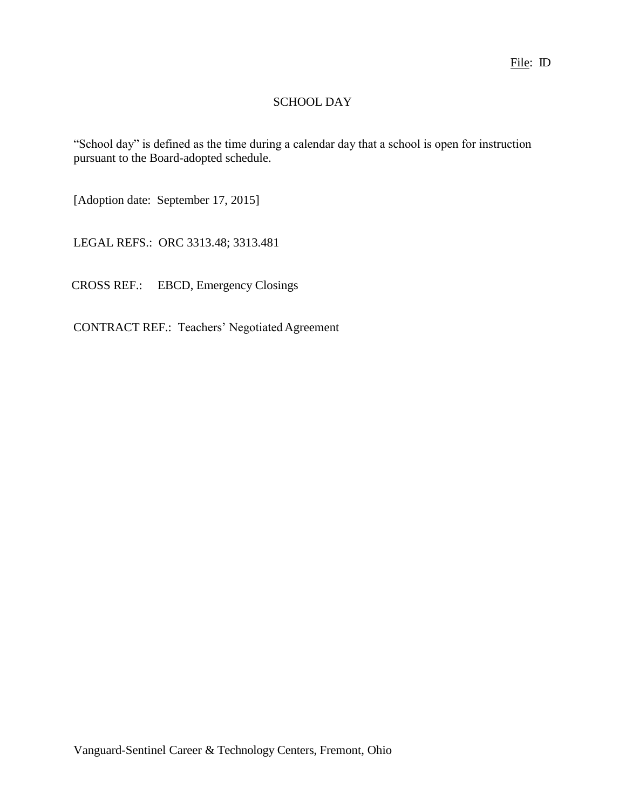## SCHOOL DAY

"School day" is defined as the time during a calendar day that a school is open for instruction pursuant to the Board-adopted schedule.

[Adoption date: September 17, 2015]

LEGAL REFS.: ORC 3313.48; 3313.481

CROSS REF.: EBCD, Emergency Closings

CONTRACT REF.: Teachers' Negotiated Agreement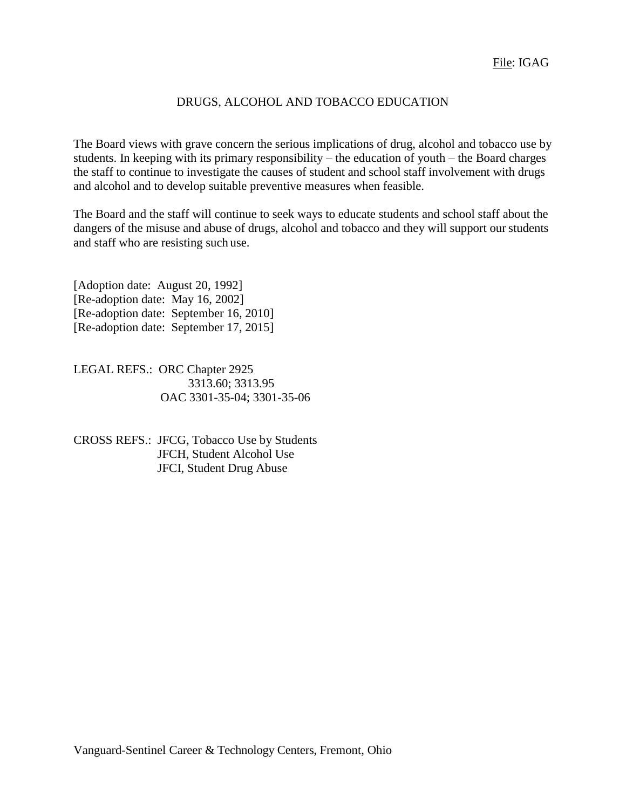#### DRUGS, ALCOHOL AND TOBACCO EDUCATION

The Board views with grave concern the serious implications of drug, alcohol and tobacco use by students. In keeping with its primary responsibility – the education of youth – the Board charges the staff to continue to investigate the causes of student and school staff involvement with drugs and alcohol and to develop suitable preventive measures when feasible.

The Board and the staff will continue to seek ways to educate students and school staff about the dangers of the misuse and abuse of drugs, alcohol and tobacco and they will support our students and staff who are resisting such use.

[Adoption date: August 20, 1992] [Re-adoption date: May 16, 2002] [Re-adoption date: September 16, 2010] [Re-adoption date: September 17, 2015]

LEGAL REFS.: ORC Chapter 2925 3313.60; 3313.95 OAC 3301-35-04; 3301-35-06

CROSS REFS.: JFCG, Tobacco Use by Students JFCH, Student Alcohol Use JFCI, Student Drug Abuse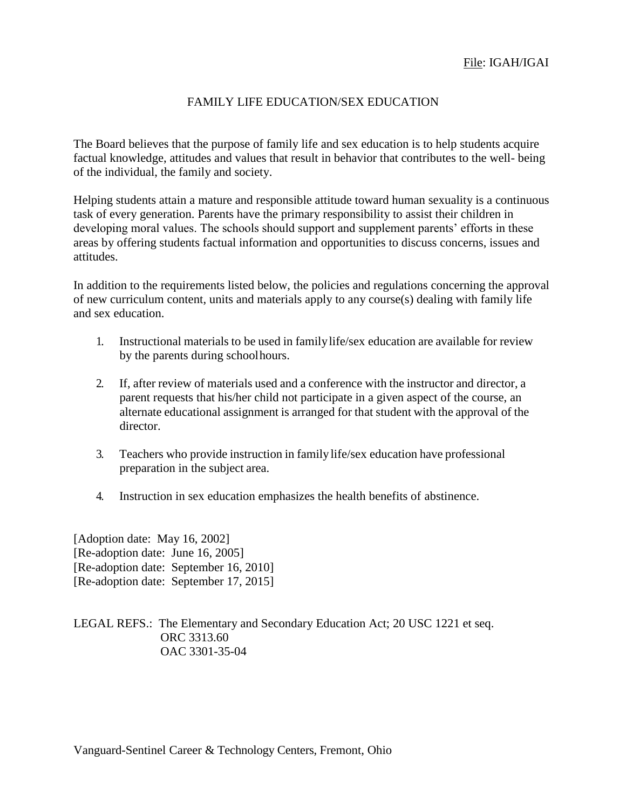#### FAMILY LIFE EDUCATION/SEX EDUCATION

The Board believes that the purpose of family life and sex education is to help students acquire factual knowledge, attitudes and values that result in behavior that contributes to the well- being of the individual, the family and society.

Helping students attain a mature and responsible attitude toward human sexuality is a continuous task of every generation. Parents have the primary responsibility to assist their children in developing moral values. The schools should support and supplement parents' efforts in these areas by offering students factual information and opportunities to discuss concerns, issues and attitudes.

In addition to the requirements listed below, the policies and regulations concerning the approval of new curriculum content, units and materials apply to any course(s) dealing with family life and sex education.

- 1. Instructional materials to be used in familylife/sex education are available for review by the parents during schoolhours.
- 2. If, after review of materials used and a conference with the instructor and director, a parent requests that his/her child not participate in a given aspect of the course, an alternate educational assignment is arranged for that student with the approval of the director.
- 3. Teachers who provide instruction in familylife/sex education have professional preparation in the subject area.
- 4. Instruction in sex education emphasizes the health benefits of abstinence.

[Adoption date: May 16, 2002] [Re-adoption date: June 16, 2005] [Re-adoption date: September 16, 2010] [Re-adoption date: September 17, 2015]

LEGAL REFS.: The Elementary and Secondary Education Act; 20 USC 1221 et seq. ORC 3313.60 OAC 3301-35-04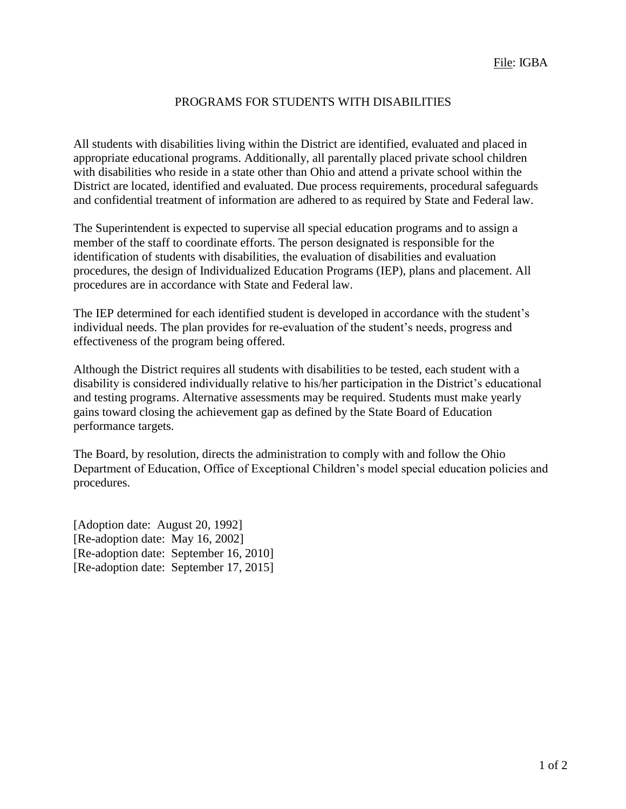#### PROGRAMS FOR STUDENTS WITH DISABILITIES

All students with disabilities living within the District are identified, evaluated and placed in appropriate educational programs. Additionally, all parentally placed private school children with disabilities who reside in a state other than Ohio and attend a private school within the District are located, identified and evaluated. Due process requirements, procedural safeguards and confidential treatment of information are adhered to as required by State and Federal law.

The Superintendent is expected to supervise all special education programs and to assign a member of the staff to coordinate efforts. The person designated is responsible for the identification of students with disabilities, the evaluation of disabilities and evaluation procedures, the design of Individualized Education Programs (IEP), plans and placement. All procedures are in accordance with State and Federal law.

The IEP determined for each identified student is developed in accordance with the student's individual needs. The plan provides for re-evaluation of the student's needs, progress and effectiveness of the program being offered.

Although the District requires all students with disabilities to be tested, each student with a disability is considered individually relative to his/her participation in the District's educational and testing programs. Alternative assessments may be required. Students must make yearly gains toward closing the achievement gap as defined by the State Board of Education performance targets.

The Board, by resolution, directs the administration to comply with and follow the Ohio Department of Education, Office of Exceptional Children's model special education policies and procedures.

[Adoption date: August 20, 1992] [Re-adoption date: May 16, 2002] [Re-adoption date: September 16, 2010] [Re-adoption date: September 17, 2015]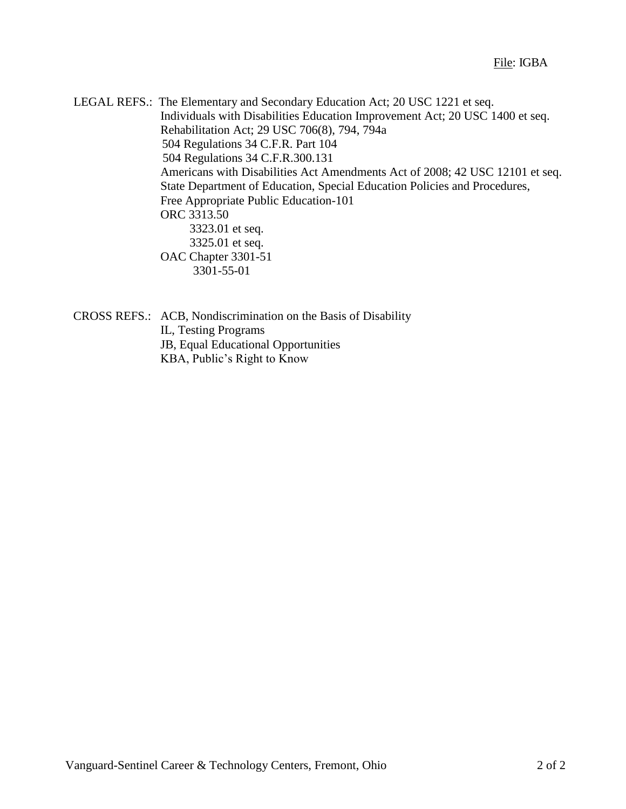LEGAL REFS.: The Elementary and Secondary Education Act; 20 USC 1221 et seq. Individuals with Disabilities Education Improvement Act; 20 USC 1400 et seq. Rehabilitation Act; 29 USC 706(8), 794, 794a 504 Regulations 34 C.F.R. Part 104 504 Regulations 34 C.F.R.300.131 Americans with Disabilities Act Amendments Act of 2008; 42 USC 12101 et seq. State Department of Education, Special Education Policies and Procedures, Free Appropriate Public Education-101 ORC 3313.50 3323.01 et seq. 3325.01 et seq. OAC Chapter 3301-51 3301-55-01

CROSS REFS.: ACB, Nondiscrimination on the Basis of Disability IL, Testing Programs JB, Equal Educational Opportunities KBA, Public's Right to Know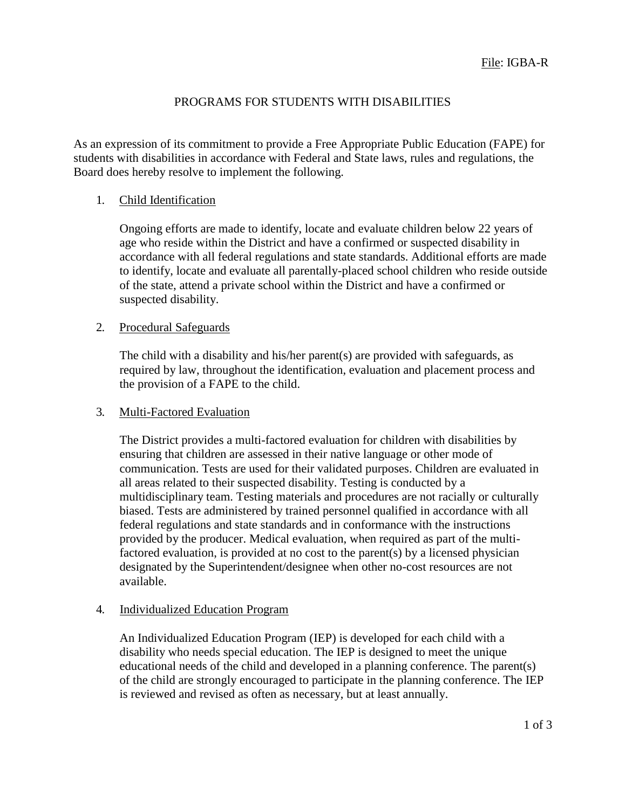## PROGRAMS FOR STUDENTS WITH DISABILITIES

As an expression of its commitment to provide a Free Appropriate Public Education (FAPE) for students with disabilities in accordance with Federal and State laws, rules and regulations, the Board does hereby resolve to implement the following.

#### 1. Child Identification

Ongoing efforts are made to identify, locate and evaluate children below 22 years of age who reside within the District and have a confirmed or suspected disability in accordance with all federal regulations and state standards. Additional efforts are made to identify, locate and evaluate all parentally-placed school children who reside outside of the state, attend a private school within the District and have a confirmed or suspected disability.

#### 2. Procedural Safeguards

The child with a disability and his/her parent(s) are provided with safeguards, as required by law, throughout the identification, evaluation and placement process and the provision of a FAPE to the child.

#### 3. Multi-Factored Evaluation

The District provides a multi-factored evaluation for children with disabilities by ensuring that children are assessed in their native language or other mode of communication. Tests are used for their validated purposes. Children are evaluated in all areas related to their suspected disability. Testing is conducted by a multidisciplinary team. Testing materials and procedures are not racially or culturally biased. Tests are administered by trained personnel qualified in accordance with all federal regulations and state standards and in conformance with the instructions provided by the producer. Medical evaluation, when required as part of the multifactored evaluation, is provided at no cost to the parent(s) by a licensed physician designated by the Superintendent/designee when other no-cost resources are not available.

#### 4. Individualized Education Program

An Individualized Education Program (IEP) is developed for each child with a disability who needs special education. The IEP is designed to meet the unique educational needs of the child and developed in a planning conference. The parent(s) of the child are strongly encouraged to participate in the planning conference. The IEP is reviewed and revised as often as necessary, but at least annually.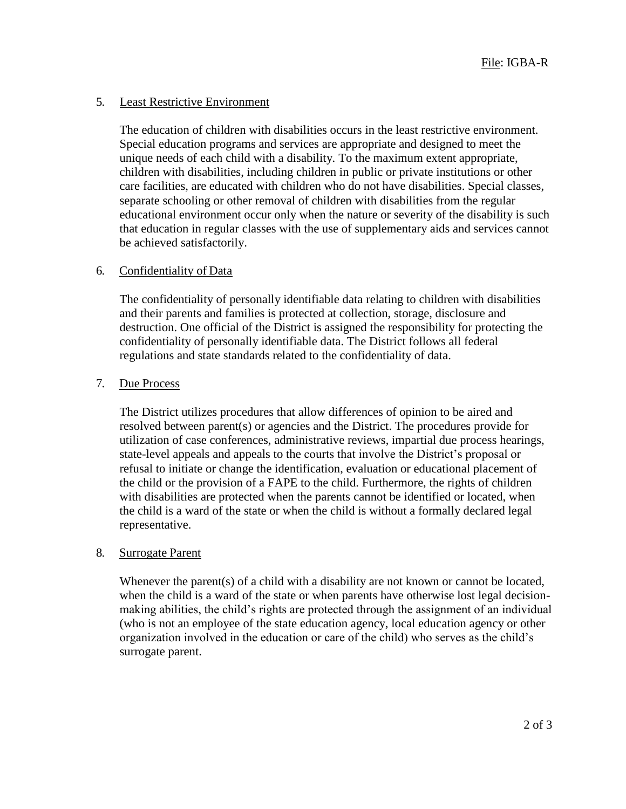#### 5. Least Restrictive Environment

The education of children with disabilities occurs in the least restrictive environment. Special education programs and services are appropriate and designed to meet the unique needs of each child with a disability. To the maximum extent appropriate, children with disabilities, including children in public or private institutions or other care facilities, are educated with children who do not have disabilities. Special classes, separate schooling or other removal of children with disabilities from the regular educational environment occur only when the nature or severity of the disability is such that education in regular classes with the use of supplementary aids and services cannot be achieved satisfactorily.

#### 6. Confidentiality of Data

The confidentiality of personally identifiable data relating to children with disabilities and their parents and families is protected at collection, storage, disclosure and destruction. One official of the District is assigned the responsibility for protecting the confidentiality of personally identifiable data. The District follows all federal regulations and state standards related to the confidentiality of data.

#### 7. Due Process

The District utilizes procedures that allow differences of opinion to be aired and resolved between parent(s) or agencies and the District. The procedures provide for utilization of case conferences, administrative reviews, impartial due process hearings, state-level appeals and appeals to the courts that involve the District's proposal or refusal to initiate or change the identification, evaluation or educational placement of the child or the provision of a FAPE to the child. Furthermore, the rights of children with disabilities are protected when the parents cannot be identified or located, when the child is a ward of the state or when the child is without a formally declared legal representative.

#### 8. Surrogate Parent

Whenever the parent(s) of a child with a disability are not known or cannot be located, when the child is a ward of the state or when parents have otherwise lost legal decisionmaking abilities, the child's rights are protected through the assignment of an individual (who is not an employee of the state education agency, local education agency or other organization involved in the education or care of the child) who serves as the child's surrogate parent.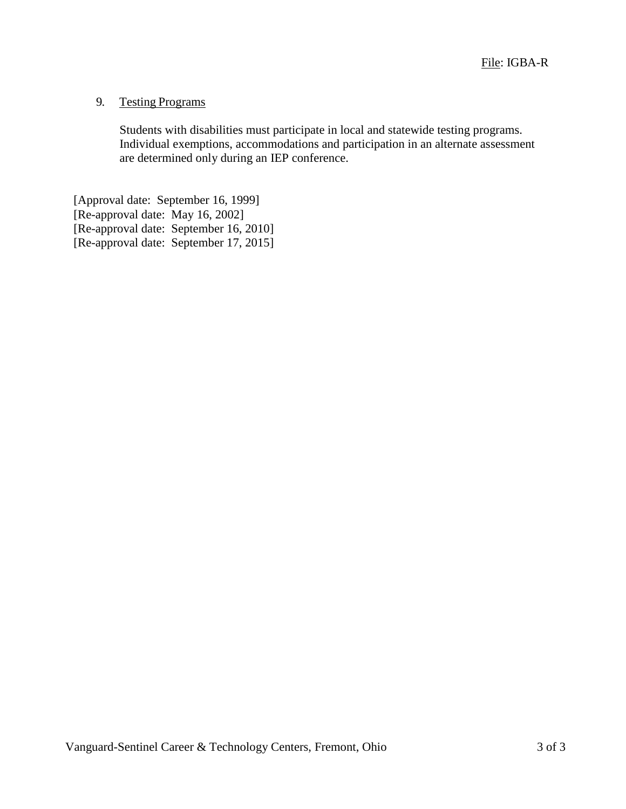## 9. Testing Programs

Students with disabilities must participate in local and statewide testing programs. Individual exemptions, accommodations and participation in an alternate assessment are determined only during an IEP conference.

[Approval date: September 16, 1999] [Re-approval date: May 16, 2002] [Re-approval date: September 16, 2010] [Re-approval date: September 17, 2015]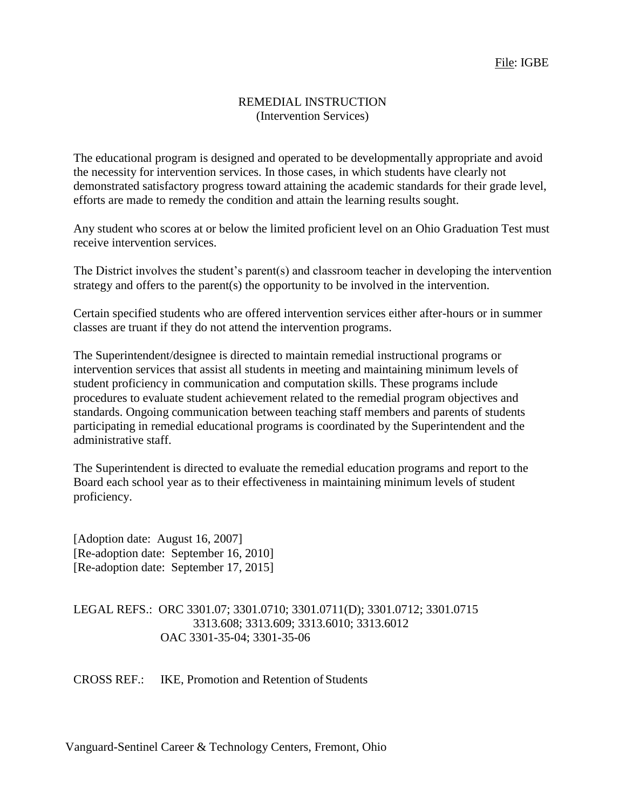#### REMEDIAL INSTRUCTION (Intervention Services)

The educational program is designed and operated to be developmentally appropriate and avoid the necessity for intervention services. In those cases, in which students have clearly not demonstrated satisfactory progress toward attaining the academic standards for their grade level, efforts are made to remedy the condition and attain the learning results sought.

Any student who scores at or below the limited proficient level on an Ohio Graduation Test must receive intervention services.

The District involves the student's parent(s) and classroom teacher in developing the intervention strategy and offers to the parent(s) the opportunity to be involved in the intervention.

Certain specified students who are offered intervention services either after-hours or in summer classes are truant if they do not attend the intervention programs.

The Superintendent/designee is directed to maintain remedial instructional programs or intervention services that assist all students in meeting and maintaining minimum levels of student proficiency in communication and computation skills. These programs include procedures to evaluate student achievement related to the remedial program objectives and standards. Ongoing communication between teaching staff members and parents of students participating in remedial educational programs is coordinated by the Superintendent and the administrative staff.

The Superintendent is directed to evaluate the remedial education programs and report to the Board each school year as to their effectiveness in maintaining minimum levels of student proficiency.

[Adoption date: August 16, 2007] [Re-adoption date: September 16, 2010] [Re-adoption date: September 17, 2015]

LEGAL REFS.: ORC 3301.07; 3301.0710; 3301.0711(D); 3301.0712; 3301.0715 3313.608; 3313.609; 3313.6010; 3313.6012 OAC 3301-35-04; 3301-35-06

CROSS REF.: IKE, Promotion and Retention of Students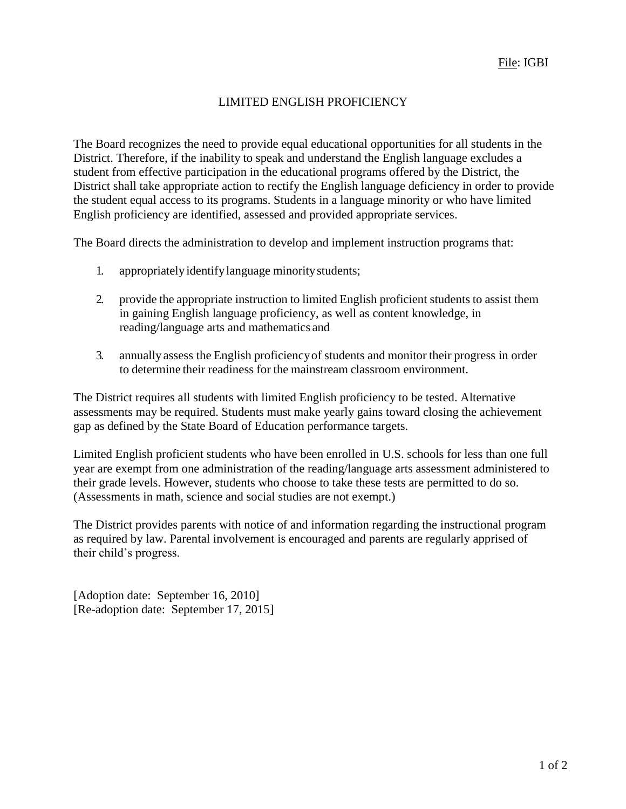## LIMITED ENGLISH PROFICIENCY

The Board recognizes the need to provide equal educational opportunities for all students in the District. Therefore, if the inability to speak and understand the English language excludes a student from effective participation in the educational programs offered by the District, the District shall take appropriate action to rectify the English language deficiency in order to provide the student equal access to its programs. Students in a language minority or who have limited English proficiency are identified, assessed and provided appropriate services.

The Board directs the administration to develop and implement instruction programs that:

- 1. appropriatelyidentifylanguage minoritystudents;
- 2. provide the appropriate instruction to limited English proficient students to assist them in gaining English language proficiency, as well as content knowledge, in reading/language arts and mathematics and
- 3. annually assess the English proficiencyof students and monitor their progress in order to determine their readiness for the mainstream classroom environment.

The District requires all students with limited English proficiency to be tested. Alternative assessments may be required. Students must make yearly gains toward closing the achievement gap as defined by the State Board of Education performance targets.

Limited English proficient students who have been enrolled in U.S. schools for less than one full year are exempt from one administration of the reading/language arts assessment administered to their grade levels. However, students who choose to take these tests are permitted to do so. (Assessments in math, science and social studies are not exempt.)

The District provides parents with notice of and information regarding the instructional program as required by law. Parental involvement is encouraged and parents are regularly apprised of their child's progress.

[Adoption date: September 16, 2010] [Re-adoption date: September 17, 2015]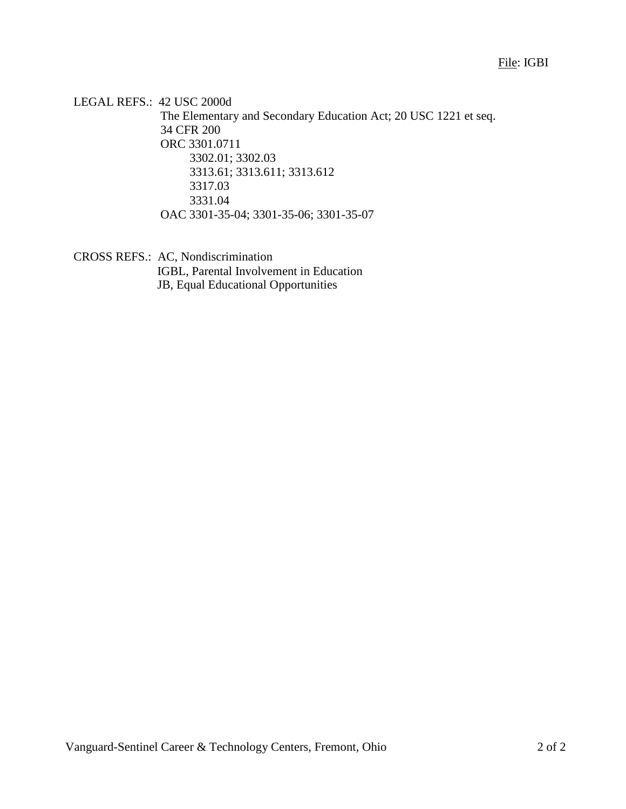LEGAL REFS.: 42 USC 2000d The Elementary and Secondary Education Act; 20 USC 1221 et seq. 34 CFR 200 ORC 3301.0711 3302.01; 3302.03 3313.61; 3313.611; 3313.612 3317.03 3331.04 OAC 3301-35-04; 3301-35-06; 3301-35-07

CROSS REFS.: AC, Nondiscrimination

IGBL, Parental Involvement in Education JB, Equal Educational Opportunities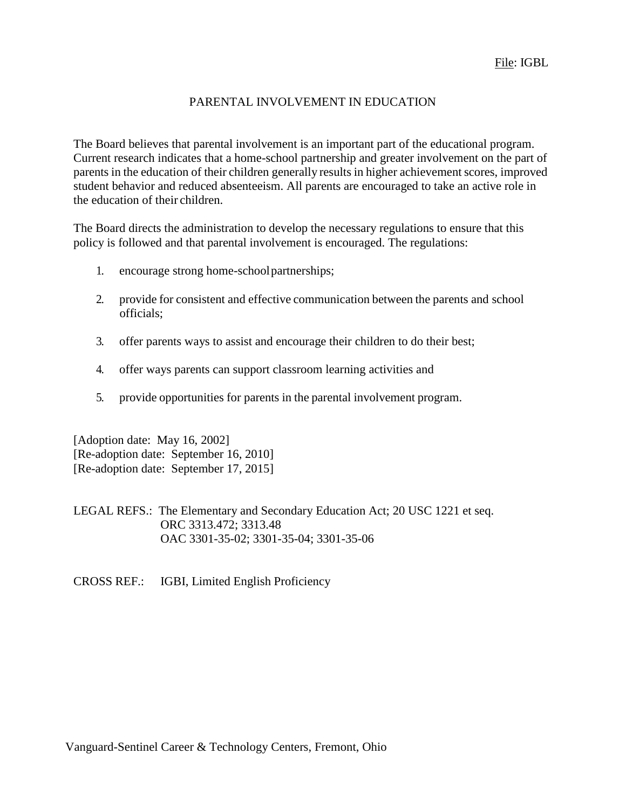## PARENTAL INVOLVEMENT IN EDUCATION

The Board believes that parental involvement is an important part of the educational program. Current research indicates that a home-school partnership and greater involvement on the part of parents in the education of their children generally results in higher achievement scores, improved student behavior and reduced absenteeism. All parents are encouraged to take an active role in the education of their children.

The Board directs the administration to develop the necessary regulations to ensure that this policy is followed and that parental involvement is encouraged. The regulations:

- 1. encourage strong home-schoolpartnerships;
- 2. provide for consistent and effective communication between the parents and school officials;
- 3. offer parents ways to assist and encourage their children to do their best;
- 4. offer ways parents can support classroom learning activities and
- 5. provide opportunities for parents in the parental involvement program.

[Adoption date: May 16, 2002] [Re-adoption date: September 16, 2010] [Re-adoption date: September 17, 2015]

LEGAL REFS.: The Elementary and Secondary Education Act; 20 USC 1221 et seq. ORC 3313.472; 3313.48 OAC 3301-35-02; 3301-35-04; 3301-35-06

CROSS REF.: IGBI, Limited English Proficiency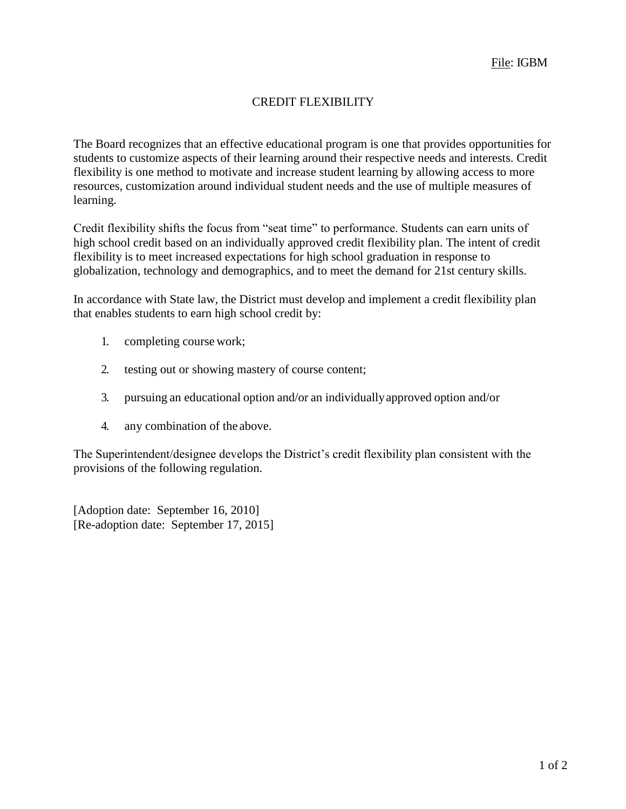## CREDIT FLEXIBILITY

The Board recognizes that an effective educational program is one that provides opportunities for students to customize aspects of their learning around their respective needs and interests. Credit flexibility is one method to motivate and increase student learning by allowing access to more resources, customization around individual student needs and the use of multiple measures of learning.

Credit flexibility shifts the focus from "seat time" to performance. Students can earn units of high school credit based on an individually approved credit flexibility plan. The intent of credit flexibility is to meet increased expectations for high school graduation in response to globalization, technology and demographics, and to meet the demand for 21st century skills.

In accordance with State law, the District must develop and implement a credit flexibility plan that enables students to earn high school credit by:

- 1. completing course work;
- 2. testing out or showing mastery of course content;
- 3. pursuing an educational option and/or an individuallyapproved option and/or
- 4. any combination of the above.

The Superintendent/designee develops the District's credit flexibility plan consistent with the provisions of the following regulation.

[Adoption date: September 16, 2010] [Re-adoption date: September 17, 2015]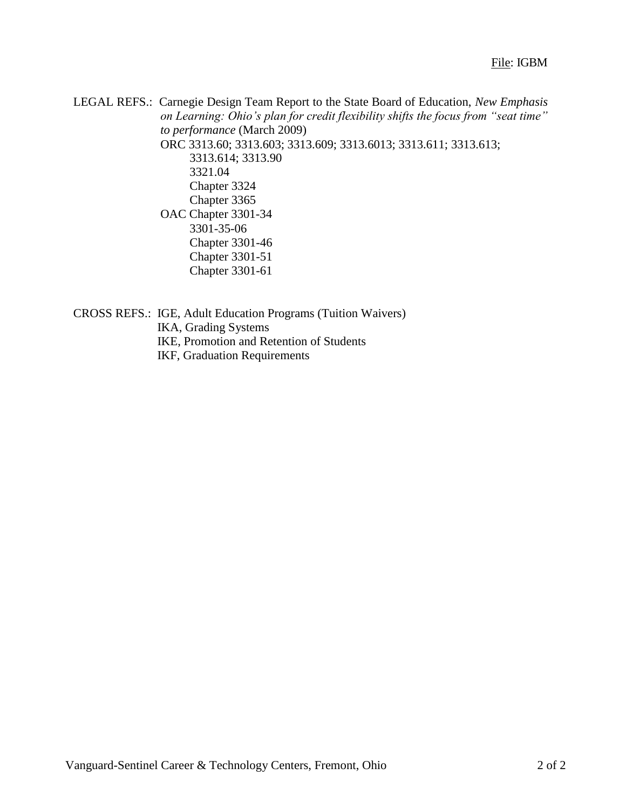LEGAL REFS.: Carnegie Design Team Report to the State Board of Education, *New Emphasis on Learning: Ohio's plan for credit flexibility shifts the focus from "seat time" to performance* (March 2009) ORC 3313.60; 3313.603; 3313.609; 3313.6013; 3313.611; 3313.613; 3313.614; 3313.90 3321.04 Chapter 3324 Chapter 3365 OAC Chapter 3301-34 3301-35-06 Chapter 3301-46 Chapter 3301-51 Chapter 3301-61

CROSS REFS.: IGE, Adult Education Programs (Tuition Waivers) IKA, Grading Systems IKE, Promotion and Retention of Students IKF, Graduation Requirements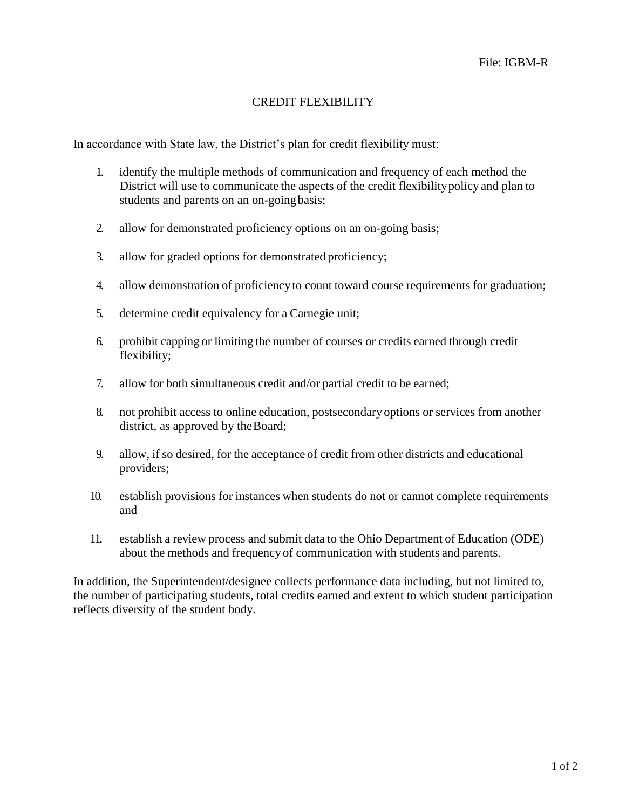## CREDIT FLEXIBILITY

In accordance with State law, the District's plan for credit flexibility must:

- 1. identify the multiple methods of communication and frequency of each method the District will use to communicate the aspects of the credit flexibilitypolicy and plan to students and parents on an on-goingbasis;
- 2. allow for demonstrated proficiency options on an on-going basis;
- 3. allow for graded options for demonstrated proficiency;
- 4. allow demonstration of proficiencyto count toward course requirements for graduation;
- 5. determine credit equivalency for a Carnegie unit;
- 6. prohibit capping or limiting the number of courses or credits earned through credit flexibility;
- 7. allow for both simultaneous credit and/or partial credit to be earned;
- 8. not prohibit access to online education, postsecondaryoptions or services from another district, as approved by the Board;
- 9. allow, if so desired, for the acceptance of credit from other districts and educational providers;
- 10. establish provisions for instances when students do not or cannot complete requirements and
- 11. establish a review process and submit data to the Ohio Department of Education (ODE) about the methods and frequency of communication with students and parents.

In addition, the Superintendent/designee collects performance data including, but not limited to, the number of participating students, total credits earned and extent to which student participation reflects diversity of the student body.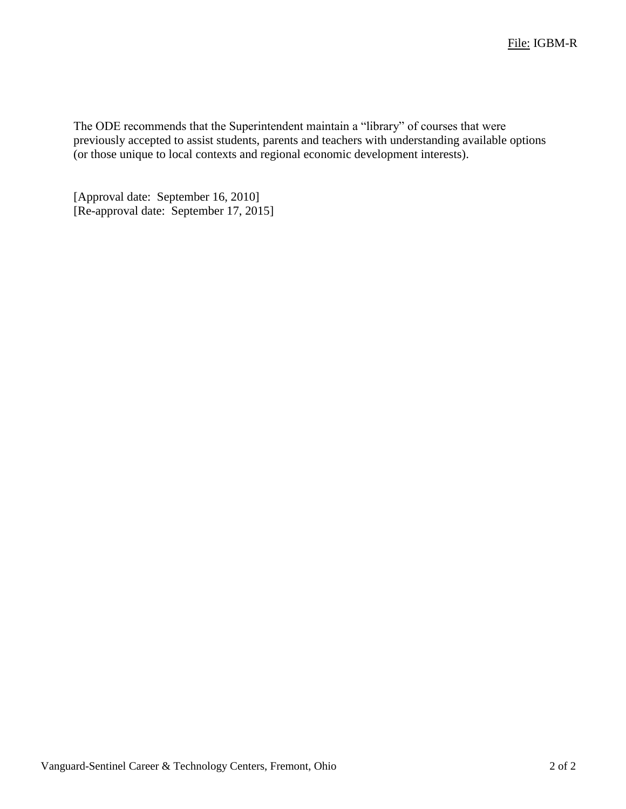The ODE recommends that the Superintendent maintain a "library" of courses that were previously accepted to assist students, parents and teachers with understanding available options (or those unique to local contexts and regional economic development interests).

[Approval date: September 16, 2010] [Re-approval date: September 17, 2015]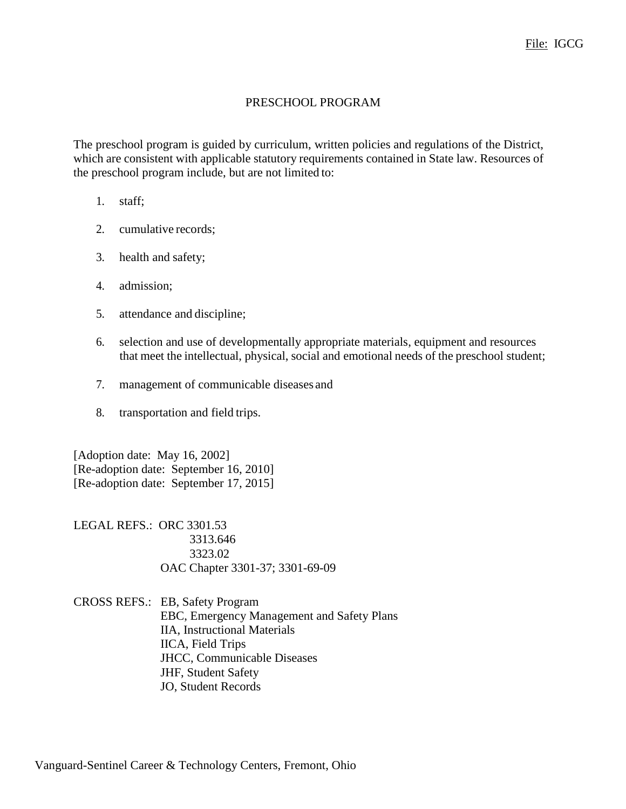#### PRESCHOOL PROGRAM

The preschool program is guided by curriculum, written policies and regulations of the District, which are consistent with applicable statutory requirements contained in State law. Resources of the preschool program include, but are not limited to:

- 1. staff;
- 2. cumulative records;
- 3. health and safety;
- 4. admission;
- 5. attendance and discipline;
- 6. selection and use of developmentally appropriate materials, equipment and resources that meet the intellectual, physical, social and emotional needs of the preschool student;
- 7. management of communicable diseases and
- 8. transportation and field trips.

[Adoption date: May 16, 2002] [Re-adoption date: September 16, 2010] [Re-adoption date: September 17, 2015]

LEGAL REFS.: ORC 3301.53 3313.646 3323.02 OAC Chapter 3301-37; 3301-69-09

CROSS REFS.: EB, Safety Program EBC, Emergency Management and Safety Plans IIA, Instructional Materials IICA, Field Trips JHCC, Communicable Diseases JHF, Student Safety JO, Student Records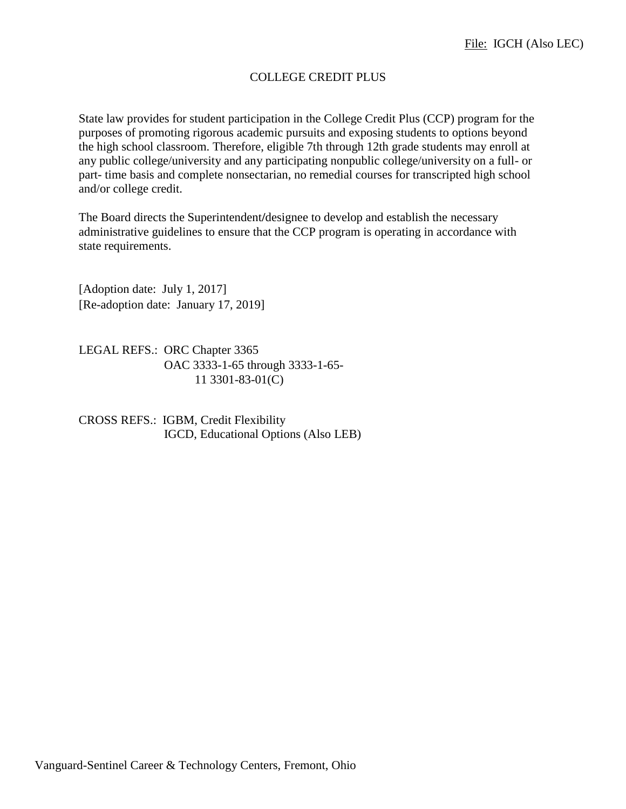## COLLEGE CREDIT PLUS

State law provides for student participation in the College Credit Plus (CCP) program for the purposes of promoting rigorous academic pursuits and exposing students to options beyond the high school classroom. Therefore, eligible 7th through 12th grade students may enroll at any public college/university and any participating nonpublic college/university on a full- or part- time basis and complete nonsectarian, no remedial courses for transcripted high school and/or college credit.

The Board directs the Superintendent**/**designee to develop and establish the necessary administrative guidelines to ensure that the CCP program is operating in accordance with state requirements.

[Adoption date: July 1, 2017] [Re-adoption date: January 17, 2019]

LEGAL REFS.: ORC Chapter 3365 OAC 3333-1-65 through 3333-1-65- 11 3301-83-01(C)

CROSS REFS.: IGBM, Credit Flexibility IGCD, Educational Options (Also LEB)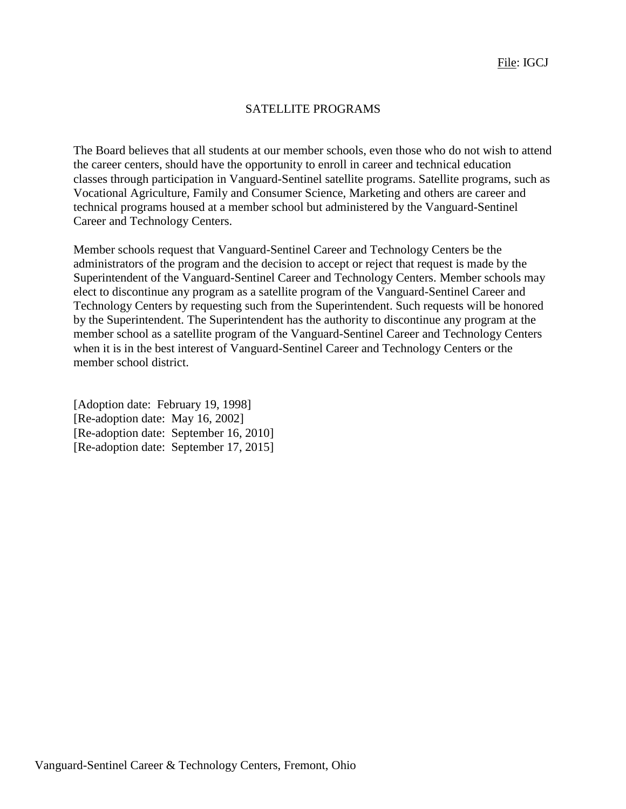#### SATELLITE PROGRAMS

The Board believes that all students at our member schools, even those who do not wish to attend the career centers, should have the opportunity to enroll in career and technical education classes through participation in Vanguard-Sentinel satellite programs. Satellite programs, such as Vocational Agriculture, Family and Consumer Science, Marketing and others are career and technical programs housed at a member school but administered by the Vanguard-Sentinel Career and Technology Centers.

Member schools request that Vanguard-Sentinel Career and Technology Centers be the administrators of the program and the decision to accept or reject that request is made by the Superintendent of the Vanguard-Sentinel Career and Technology Centers. Member schools may elect to discontinue any program as a satellite program of the Vanguard-Sentinel Career and Technology Centers by requesting such from the Superintendent. Such requests will be honored by the Superintendent. The Superintendent has the authority to discontinue any program at the member school as a satellite program of the Vanguard-Sentinel Career and Technology Centers when it is in the best interest of Vanguard-Sentinel Career and Technology Centers or the member school district.

[Adoption date: February 19, 1998] [Re-adoption date: May 16, 2002] [Re-adoption date: September 16, 2010] [Re-adoption date: September 17, 2015]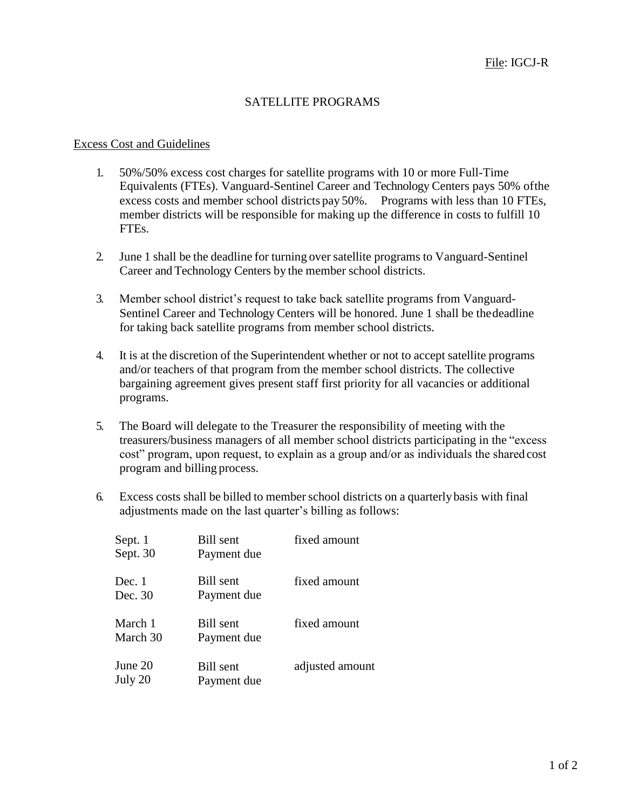## SATELLITE PROGRAMS

#### Excess Cost and Guidelines

- 1. 50%/50% excess cost charges for satellite programs with 10 or more Full-Time Equivalents (FTEs). Vanguard-Sentinel Career and Technology Centers pays 50% ofthe excess costs and member school districts pay 50%. Programs with less than 10 FTEs, member districts will be responsible for making up the difference in costs to fulfill 10 FTEs.
- 2. June 1 shall be the deadline for turning over satellite programs to Vanguard-Sentinel Career and Technology Centers by the member school districts.
- 3. Member school district's request to take back satellite programs from Vanguard-Sentinel Career and Technology Centers will be honored. June 1 shall be thedeadline for taking back satellite programs from member school districts.
- 4. It is at the discretion of the Superintendent whether or not to accept satellite programs and/or teachers of that program from the member school districts. The collective bargaining agreement gives present staff first priority for all vacancies or additional programs.
- 5. The Board will delegate to the Treasurer the responsibility of meeting with the treasurers/business managers of all member school districts participating in the "excess cost" program, upon request, to explain as a group and/or as individuals the shared cost program and billing process.
- 6. Excess costs shall be billed to memberschool districts on a quarterlybasis with final adjustments made on the last quarter's billing as follows:

| Sept. 1<br>Sept. 30 | <b>Bill</b> sent<br>Payment due | fixed amount    |
|---------------------|---------------------------------|-----------------|
| Dec. 1<br>Dec. 30   | Bill sent<br>Payment due        | fixed amount    |
| March 1<br>March 30 | Bill sent<br>Payment due        | fixed amount    |
| June 20<br>July 20  | <b>Bill</b> sent<br>Payment due | adjusted amount |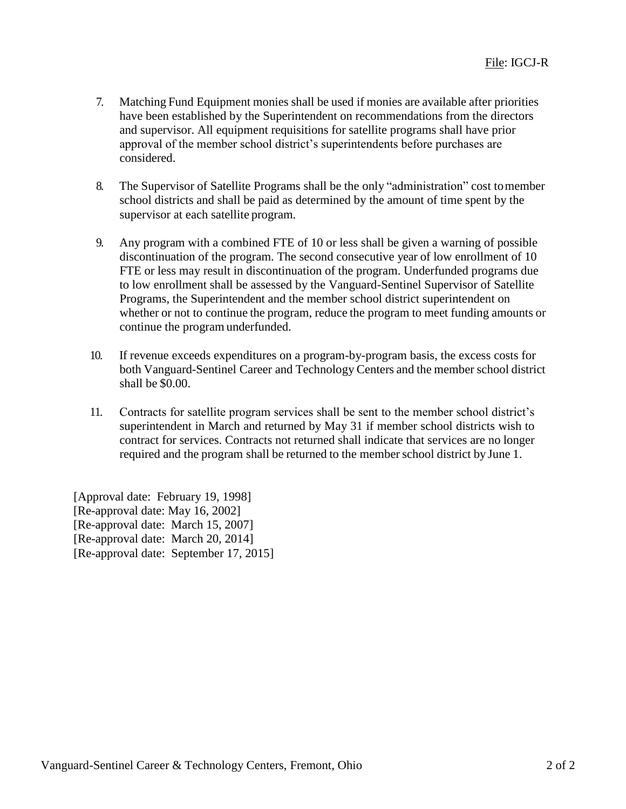- 7. Matching Fund Equipment monies shall be used if monies are available after priorities have been established by the Superintendent on recommendations from the directors and supervisor. All equipment requisitions for satellite programs shall have prior approval of the member school district's superintendents before purchases are considered.
- 8. The Supervisor of Satellite Programs shall be the only "administration" cost tomember school districts and shall be paid as determined by the amount of time spent by the supervisor at each satellite program.
- 9. Any program with a combined FTE of 10 or less shall be given a warning of possible discontinuation of the program. The second consecutive year of low enrollment of 10 FTE or less may result in discontinuation of the program. Underfunded programs due to low enrollment shall be assessed by the Vanguard-Sentinel Supervisor of Satellite Programs, the Superintendent and the member school district superintendent on whether or not to continue the program, reduce the program to meet funding amounts or continue the program underfunded.
- 10. If revenue exceeds expenditures on a program-by-program basis, the excess costs for both Vanguard-Sentinel Career and Technology Centers and the member school district shall be \$0.00.
- 11. Contracts for satellite program services shall be sent to the member school district's superintendent in March and returned by May 31 if member school districts wish to contract for services. Contracts not returned shall indicate that services are no longer required and the program shall be returned to the memberschool district by June 1.

[Approval date: February 19, 1998] [Re-approval date: May 16, 2002] [Re-approval date: March 15, 2007] [Re-approval date: March 20, 2014] [Re-approval date: September 17, 2015]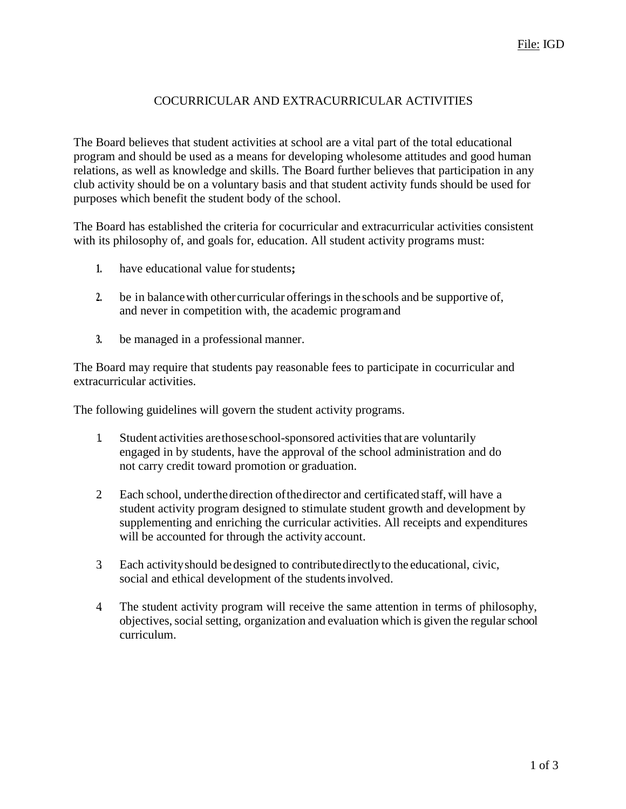## COCURRICULAR AND EXTRACURRICULAR ACTIVITIES

The Board believes that student activities at school are a vital part of the total educational program and should be used as a means for developing wholesome attitudes and good human relations, as well as knowledge and skills. The Board further believes that participation in any club activity should be on a voluntary basis and that student activity funds should be used for purposes which benefit the student body of the school.

The Board has established the criteria for cocurricular and extracurricular activities consistent with its philosophy of, and goals for, education. All student activity programs must:

- **1.** have educational value forstudents**;**
- **2.** be in balancewith other curricular offerings in the schools and be supportive of, and never in competition with, the academic programand
- **3.** be managed in a professional manner.

The Board may require that students pay reasonable fees to participate in cocurricular and extracurricular activities.

The following guidelines will govern the student activity programs.

- 1. Student activities arethoseschool-sponsored activitiesthat are voluntarily engaged in by students, have the approval of the school administration and do not carry credit toward promotion or graduation.
- 2. Each school, underthedirection ofthedirector and certificated staff, will have a student activity program designed to stimulate student growth and development by supplementing and enriching the curricular activities. All receipts and expenditures will be accounted for through the activity account.
- 3. Each activityshould bedesigned to contributedirectlyto the educational, civic, social and ethical development of the studentsinvolved.
- 4. The student activity program will receive the same attention in terms of philosophy, objectives, social setting, organization and evaluation which is given the regular school curriculum.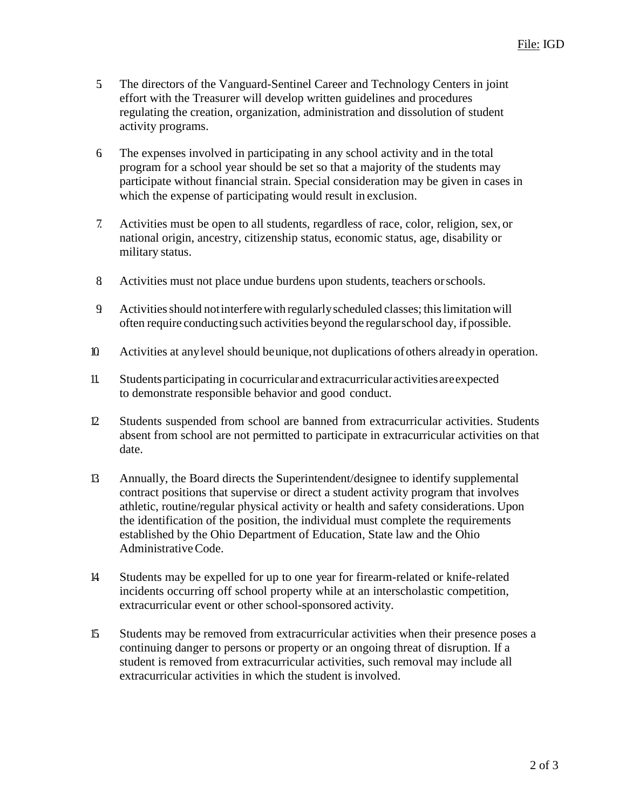- 5. The directors of the Vanguard-Sentinel Career and Technology Centers in joint effort with the Treasurer will develop written guidelines and procedures regulating the creation, organization, administration and dissolution of student activity programs.
- 6. The expenses involved in participating in any school activity and in the total program for a school year should be set so that a majority of the students may participate without financial strain. Special consideration may be given in cases in which the expense of participating would result in exclusion.
- 7. Activities must be open to all students, regardless of race, color, religion, sex, or national origin, ancestry, citizenship status, economic status, age, disability or military status.
- 8. Activities must not place undue burdens upon students, teachers orschools.
- 9. Activitiesshould notinterferewith regularlyscheduled classes; thislimitation will often require conductingsuch activities beyond the regularschool day, ifpossible.
- 10. Activities at anylevel should beunique,not duplications ofothers alreadyin operation.
- 11. Studentsparticipating in cocurricular and extracurricular activities areexpected to demonstrate responsible behavior and good conduct.
- 12. Students suspended from school are banned from extracurricular activities. Students absent from school are not permitted to participate in extracurricular activities on that date.
- 13. Annually, the Board directs the Superintendent/designee to identify supplemental contract positions that supervise or direct a student activity program that involves athletic, routine/regular physical activity or health and safety considerations. Upon the identification of the position, the individual must complete the requirements established by the Ohio Department of Education, State law and the Ohio AdministrativeCode.
- 14. Students may be expelled for up to one year for firearm-related or knife-related incidents occurring off school property while at an interscholastic competition, extracurricular event or other school-sponsored activity.
- 15. Students may be removed from extracurricular activities when their presence poses a continuing danger to persons or property or an ongoing threat of disruption. If a student is removed from extracurricular activities, such removal may include all extracurricular activities in which the student is involved.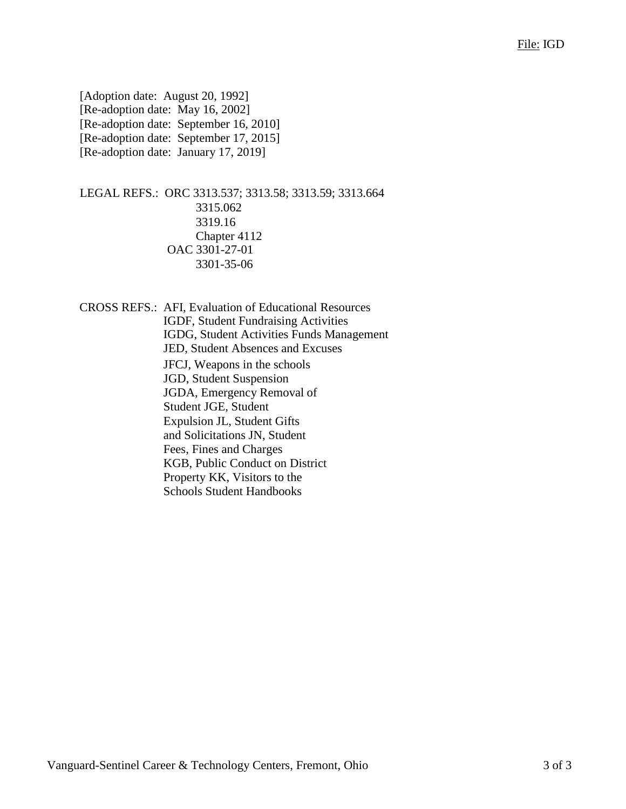[Adoption date: August 20, 1992] [Re-adoption date: May 16, 2002] [Re-adoption date: September 16, 2010] [Re-adoption date: September 17, 2015] [Re-adoption date: January 17, 2019]

LEGAL REFS.: ORC 3313.537; 3313.58; 3313.59; 3313.664 3315.062 3319.16 Chapter 4112 OAC 3301-27-01 3301-35-06

CROSS REFS.: AFI, Evaluation of Educational Resources IGDF, Student Fundraising Activities IGDG, Student Activities Funds Management JED, Student Absences and Excuses JFCJ, Weapons in the schools JGD, Student Suspension JGDA, Emergency Removal of Student JGE, Student Expulsion JL, Student Gifts and Solicitations JN, Student Fees, Fines and Charges KGB, Public Conduct on District Property KK, Visitors to the Schools Student Handbooks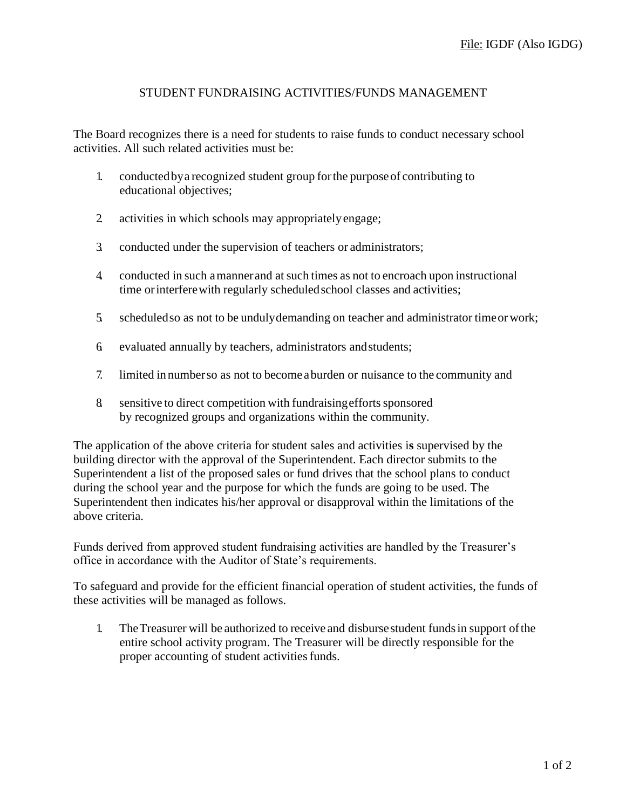#### STUDENT FUNDRAISING ACTIVITIES/FUNDS MANAGEMENT

The Board recognizes there is a need for students to raise funds to conduct necessary school activities. All such related activities must be:

- 1. conductedbya recognized student group forthe purposeof contributing to educational objectives;
- 2. activities in which schools may appropriatelyengage;
- 3. conducted under the supervision of teachers or administrators;
- 4. conducted in such amannerand atsuch times as not to encroach upon instructional time orinterferewith regularly scheduledschool classes and activities;
- 5. scheduledso as not to be undulydemanding on teacher and administrator timeorwork;
- 6. evaluated annually by teachers, administrators andstudents;
- 7. limited in numberso as not to become aburden or nuisance to the community and
- 8 sensitive to direct competition with fundraising efforts sponsored by recognized groups and organizations within the community.

The application of the above criteria for student sales and activities i**s** supervised by the building director with the approval of the Superintendent. Each director submits to the Superintendent a list of the proposed sales or fund drives that the school plans to conduct during the school year and the purpose for which the funds are going to be used. The Superintendent then indicates his/her approval or disapproval within the limitations of the above criteria.

Funds derived from approved student fundraising activities are handled by the Treasurer's office in accordance with the Auditor of State's requirements.

To safeguard and provide for the efficient financial operation of student activities, the funds of these activities will be managed as follows.

1. TheTreasurer will be authorized to receive and disbursestudent fundsin support ofthe entire school activity program. The Treasurer will be directly responsible for the proper accounting of student activities funds.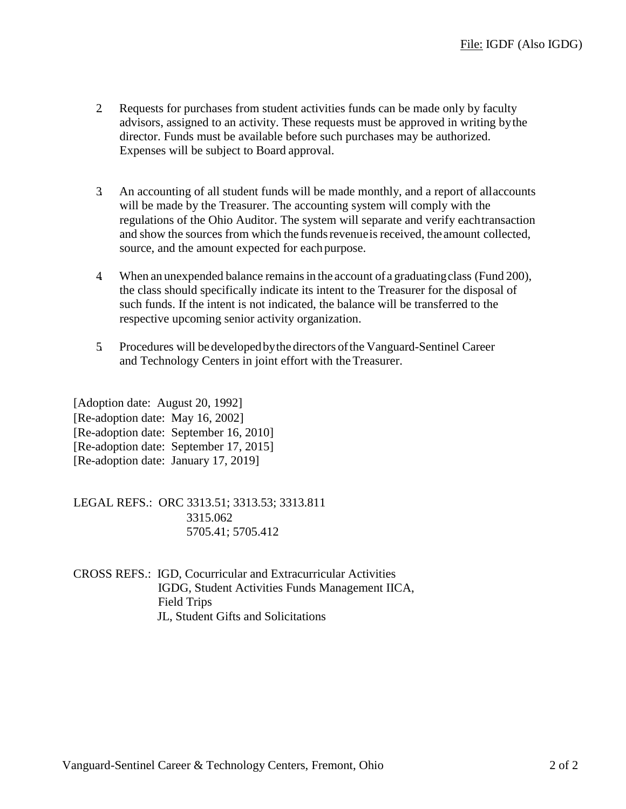- 2. Requests for purchases from student activities funds can be made only by faculty advisors, assigned to an activity. These requests must be approved in writing bythe director. Funds must be available before such purchases may be authorized. Expenses will be subject to Board approval.
- 3. An accounting of all student funds will be made monthly, and a report of allaccounts will be made by the Treasurer. The accounting system will comply with the regulations of the Ohio Auditor. The system will separate and verify eachtransaction and show the sources from which the fundsrevenueis received, the amount collected, source, and the amount expected for eachpurpose.
- 4. When an unexpended balance remainsin the account of a graduatingclass (Fund 200), the class should specifically indicate its intent to the Treasurer for the disposal of such funds. If the intent is not indicated, the balance will be transferred to the respective upcoming senior activity organization.
- 5. Procedures will bedevelopedbythe directors ofthe Vanguard-Sentinel Career and Technology Centers in joint effort with theTreasurer.

| [Adoption date: August 20, 1992]     |                                        |
|--------------------------------------|----------------------------------------|
| [Re-adoption date: May 16, 2002]     |                                        |
|                                      | [Re-adoption date: September 16, 2010] |
|                                      | [Re-adoption date: September 17, 2015] |
| [Re-adoption date: January 17, 2019] |                                        |

LEGAL REFS.: ORC 3313.51; 3313.53; 3313.811 3315.062 5705.41; 5705.412

CROSS REFS.: IGD, Cocurricular and Extracurricular Activities IGDG, Student Activities Funds Management IICA, Field Trips JL, Student Gifts and Solicitations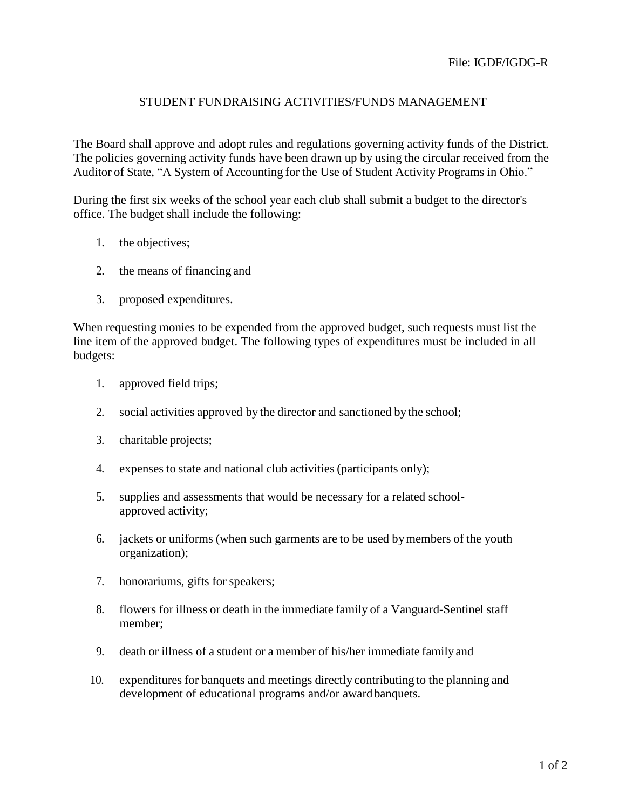## STUDENT FUNDRAISING ACTIVITIES/FUNDS MANAGEMENT

The Board shall approve and adopt rules and regulations governing activity funds of the District. The policies governing activity funds have been drawn up by using the circular received from the Auditor of State, "A System of Accounting for the Use of Student Activity Programs in Ohio."

During the first six weeks of the school year each club shall submit a budget to the director's office. The budget shall include the following:

- 1. the objectives;
- 2. the means of financing and
- 3. proposed expenditures.

When requesting monies to be expended from the approved budget, such requests must list the line item of the approved budget. The following types of expenditures must be included in all budgets:

- 1. approved field trips;
- 2. social activities approved by the director and sanctioned by the school;
- 3. charitable projects;
- 4. expenses to state and national club activities (participants only);
- 5. supplies and assessments that would be necessary for a related schoolapproved activity;
- 6. jackets or uniforms (when such garments are to be used bymembers of the youth organization);
- 7. honorariums, gifts for speakers;
- 8. flowers for illness or death in the immediate family of a Vanguard-Sentinel staff member;
- 9. death or illness of a student or a member of his/her immediate family and
- 10. expenditures for banquets and meetings directly contributing to the planning and development of educational programs and/or awardbanquets.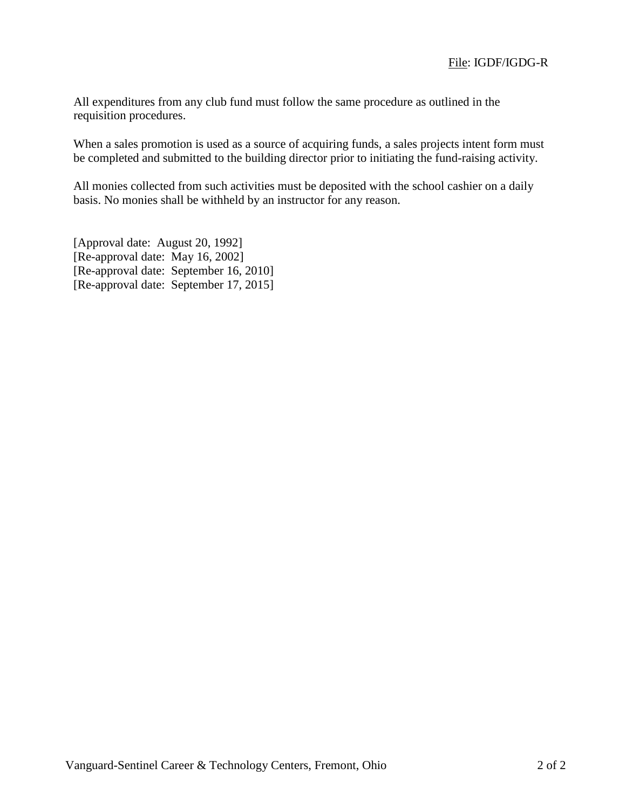All expenditures from any club fund must follow the same procedure as outlined in the requisition procedures.

When a sales promotion is used as a source of acquiring funds, a sales projects intent form must be completed and submitted to the building director prior to initiating the fund-raising activity.

All monies collected from such activities must be deposited with the school cashier on a daily basis. No monies shall be withheld by an instructor for any reason.

[Approval date: August 20, 1992] [Re-approval date: May 16, 2002] [Re-approval date: September 16, 2010] [Re-approval date: September 17, 2015]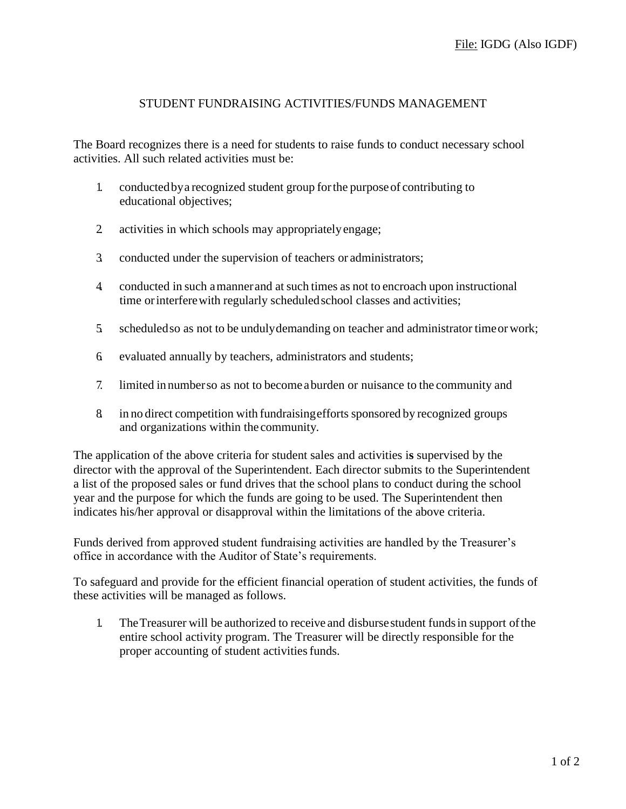## STUDENT FUNDRAISING ACTIVITIES/FUNDS MANAGEMENT

The Board recognizes there is a need for students to raise funds to conduct necessary school activities. All such related activities must be:

- 1. conductedbya recognized student group forthe purposeof contributing to educational objectives;
- 2. activities in which schools may appropriatelyengage;
- 3. conducted under the supervision of teachers or administrators;
- 4. conducted in such amannerand atsuch times as not to encroach upon instructional time orinterferewith regularly scheduledschool classes and activities;
- 5. scheduledso as not to be undulydemanding on teacher and administrator timeorwork;
- 6. evaluated annually by teachers, administrators and students;
- 7. limited in numberso as not to become aburden or nuisance to the community and
- 8. in no direct competition with fundraisingefforts sponsored by recognized groups and organizations within the community.

The application of the above criteria for student sales and activities i**s** supervised by the director with the approval of the Superintendent. Each director submits to the Superintendent a list of the proposed sales or fund drives that the school plans to conduct during the school year and the purpose for which the funds are going to be used. The Superintendent then indicates his/her approval or disapproval within the limitations of the above criteria.

Funds derived from approved student fundraising activities are handled by the Treasurer's office in accordance with the Auditor of State's requirements.

To safeguard and provide for the efficient financial operation of student activities, the funds of these activities will be managed as follows.

1. TheTreasurer will be authorized to receive and disbursestudent fundsin support ofthe entire school activity program. The Treasurer will be directly responsible for the proper accounting of student activities funds.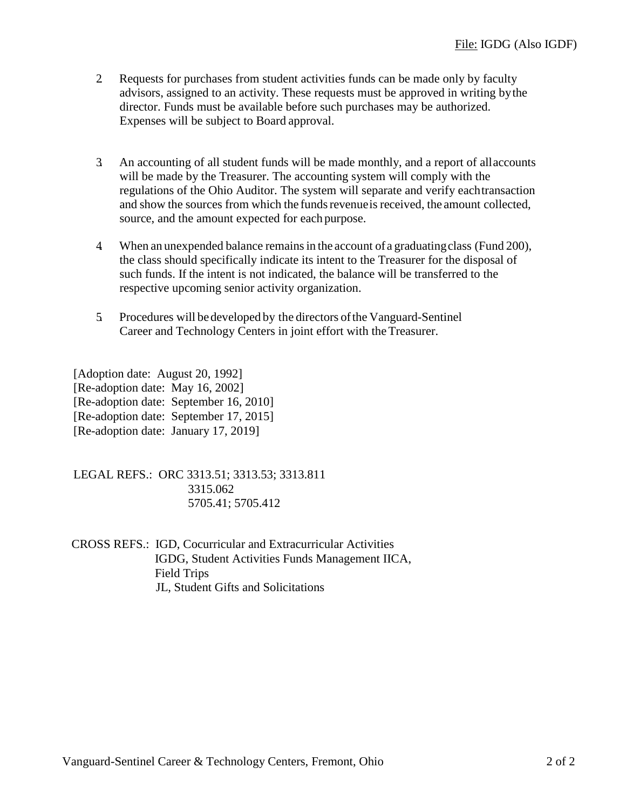- 2. Requests for purchases from student activities funds can be made only by faculty advisors, assigned to an activity. These requests must be approved in writing bythe director. Funds must be available before such purchases may be authorized. Expenses will be subject to Board approval.
- 3. An accounting of all student funds will be made monthly, and a report of allaccounts will be made by the Treasurer. The accounting system will comply with the regulations of the Ohio Auditor. The system will separate and verify eachtransaction and show the sources from which the funds revenue is received, the amount collected, source, and the amount expected for each purpose.
- 4. When an unexpended balance remainsin the account of a graduatingclass (Fund 200), the class should specifically indicate its intent to the Treasurer for the disposal of such funds. If the intent is not indicated, the balance will be transferred to the respective upcoming senior activity organization.
- 5. Procedures will bedeveloped by the directors ofthe Vanguard-Sentinel Career and Technology Centers in joint effort with theTreasurer.

[Adoption date: August 20, 1992] [Re-adoption date: May 16, 2002] [Re-adoption date: September 16, 2010]

- [Re-adoption date: September 17, 2015]
- [Re-adoption date: January 17, 2019]

LEGAL REFS.: ORC 3313.51; 3313.53; 3313.811 3315.062 5705.41; 5705.412

CROSS REFS.: IGD, Cocurricular and Extracurricular Activities IGDG, Student Activities Funds Management IICA, Field Trips JL, Student Gifts and Solicitations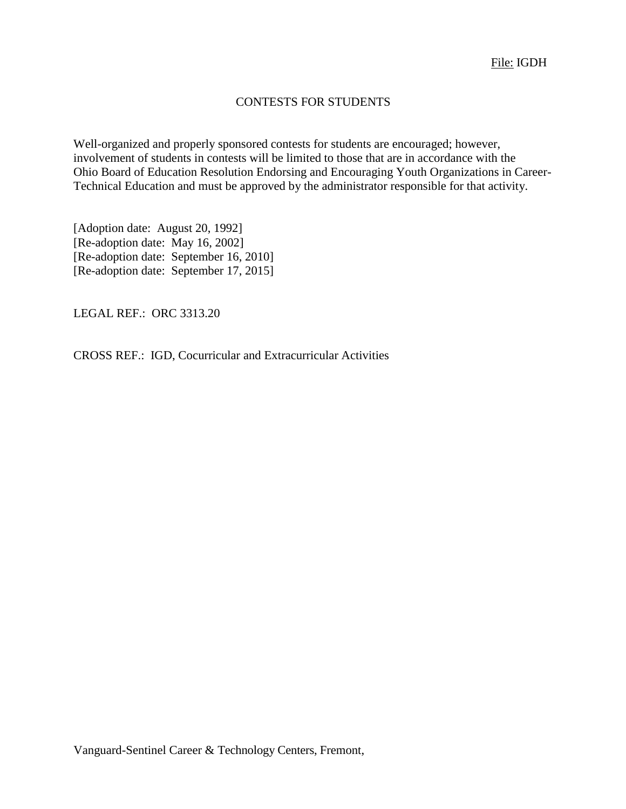## CONTESTS FOR STUDENTS

Well-organized and properly sponsored contests for students are encouraged; however, involvement of students in contests will be limited to those that are in accordance with the Ohio Board of Education Resolution Endorsing and Encouraging Youth Organizations in Career-Technical Education and must be approved by the administrator responsible for that activity.

[Adoption date: August 20, 1992] [Re-adoption date: May 16, 2002] [Re-adoption date: September 16, 2010] [Re-adoption date: September 17, 2015]

LEGAL REF.: ORC 3313.20

CROSS REF.: IGD, Cocurricular and Extracurricular Activities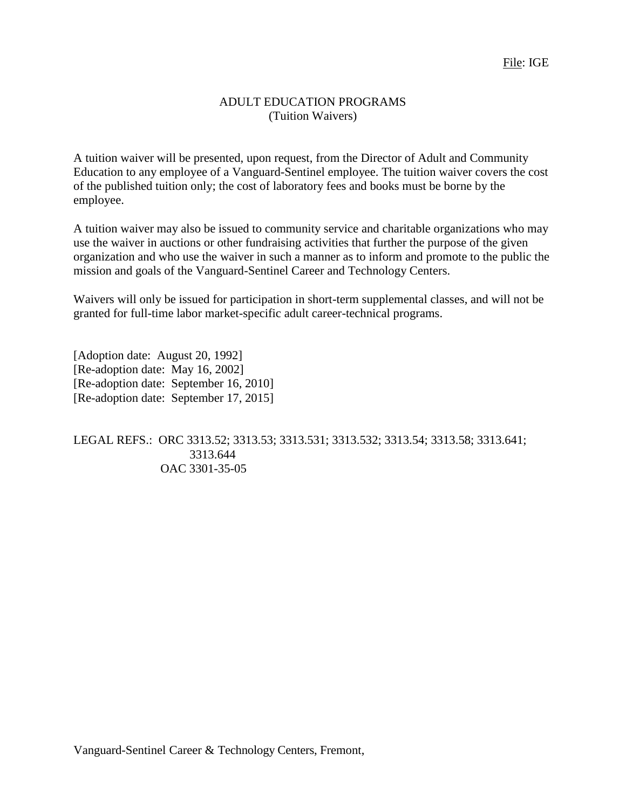#### ADULT EDUCATION PROGRAMS (Tuition Waivers)

A tuition waiver will be presented, upon request, from the Director of Adult and Community Education to any employee of a Vanguard-Sentinel employee. The tuition waiver covers the cost of the published tuition only; the cost of laboratory fees and books must be borne by the employee.

A tuition waiver may also be issued to community service and charitable organizations who may use the waiver in auctions or other fundraising activities that further the purpose of the given organization and who use the waiver in such a manner as to inform and promote to the public the mission and goals of the Vanguard-Sentinel Career and Technology Centers.

Waivers will only be issued for participation in short-term supplemental classes, and will not be granted for full-time labor market-specific adult career-technical programs.

[Adoption date: August 20, 1992] [Re-adoption date: May 16, 2002] [Re-adoption date: September 16, 2010] [Re-adoption date: September 17, 2015]

LEGAL REFS.: ORC 3313.52; 3313.53; 3313.531; 3313.532; 3313.54; 3313.58; 3313.641; 3313.644 OAC 3301-35-05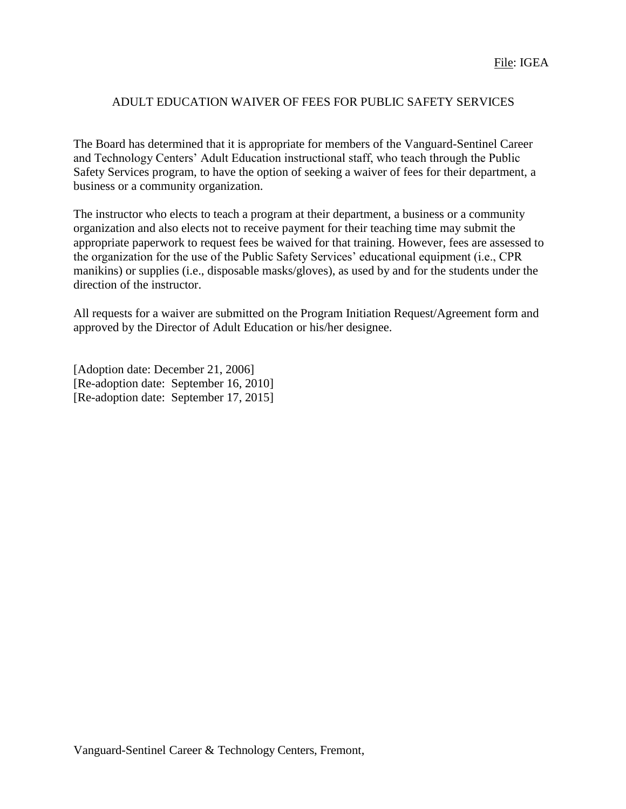## ADULT EDUCATION WAIVER OF FEES FOR PUBLIC SAFETY SERVICES

The Board has determined that it is appropriate for members of the Vanguard-Sentinel Career and Technology Centers' Adult Education instructional staff, who teach through the Public Safety Services program, to have the option of seeking a waiver of fees for their department, a business or a community organization.

The instructor who elects to teach a program at their department, a business or a community organization and also elects not to receive payment for their teaching time may submit the appropriate paperwork to request fees be waived for that training. However, fees are assessed to the organization for the use of the Public Safety Services' educational equipment (i.e., CPR manikins) or supplies (i.e., disposable masks/gloves), as used by and for the students under the direction of the instructor.

All requests for a waiver are submitted on the Program Initiation Request/Agreement form and approved by the Director of Adult Education or his/her designee.

[Adoption date: December 21, 2006] [Re-adoption date: September 16, 2010] [Re-adoption date: September 17, 2015]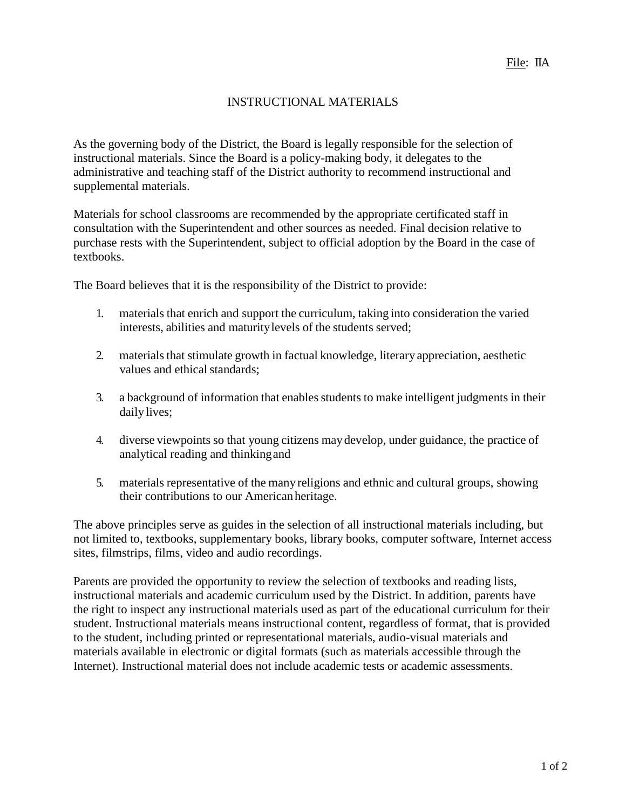## INSTRUCTIONAL MATERIALS

As the governing body of the District, the Board is legally responsible for the selection of instructional materials. Since the Board is a policy-making body, it delegates to the administrative and teaching staff of the District authority to recommend instructional and supplemental materials.

Materials for school classrooms are recommended by the appropriate certificated staff in consultation with the Superintendent and other sources as needed. Final decision relative to purchase rests with the Superintendent, subject to official adoption by the Board in the case of textbooks.

The Board believes that it is the responsibility of the District to provide:

- 1. materials that enrich and support the curriculum, taking into consideration the varied interests, abilities and maturitylevels of the students served;
- 2. materials that stimulate growth in factual knowledge, literary appreciation, aesthetic values and ethical standards;
- 3. a background of information that enables students to make intelligent judgments in their daily lives;
- 4. diverse viewpoints so that young citizens maydevelop, under guidance, the practice of analytical reading and thinkingand
- 5. materials representative of the many religions and ethnic and cultural groups, showing their contributions to our Americanheritage.

The above principles serve as guides in the selection of all instructional materials including, but not limited to, textbooks, supplementary books, library books, computer software, Internet access sites, filmstrips, films, video and audio recordings.

Parents are provided the opportunity to review the selection of textbooks and reading lists, instructional materials and academic curriculum used by the District. In addition, parents have the right to inspect any instructional materials used as part of the educational curriculum for their student. Instructional materials means instructional content, regardless of format, that is provided to the student, including printed or representational materials, audio-visual materials and materials available in electronic or digital formats (such as materials accessible through the Internet). Instructional material does not include academic tests or academic assessments.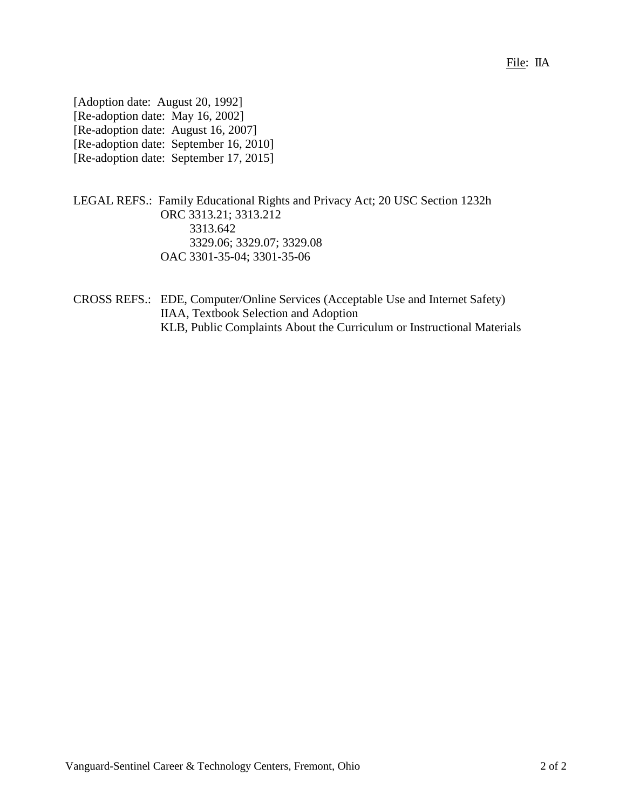#### File: IIA

| [Adoption date: August 20, 1992]    |                                        |
|-------------------------------------|----------------------------------------|
| [Re-adoption date: May 16, 2002]    |                                        |
| [Re-adoption date: August 16, 2007] |                                        |
|                                     | [Re-adoption date: September 16, 2010] |
|                                     | [Re-adoption date: September 17, 2015] |

## LEGAL REFS.: Family Educational Rights and Privacy Act; 20 USC Section 1232h ORC 3313.21; 3313.212 3313.642 3329.06; 3329.07; 3329.08 OAC 3301-35-04; 3301-35-06

CROSS REFS.: EDE, Computer/Online Services (Acceptable Use and Internet Safety) IIAA, Textbook Selection and Adoption KLB, Public Complaints About the Curriculum or Instructional Materials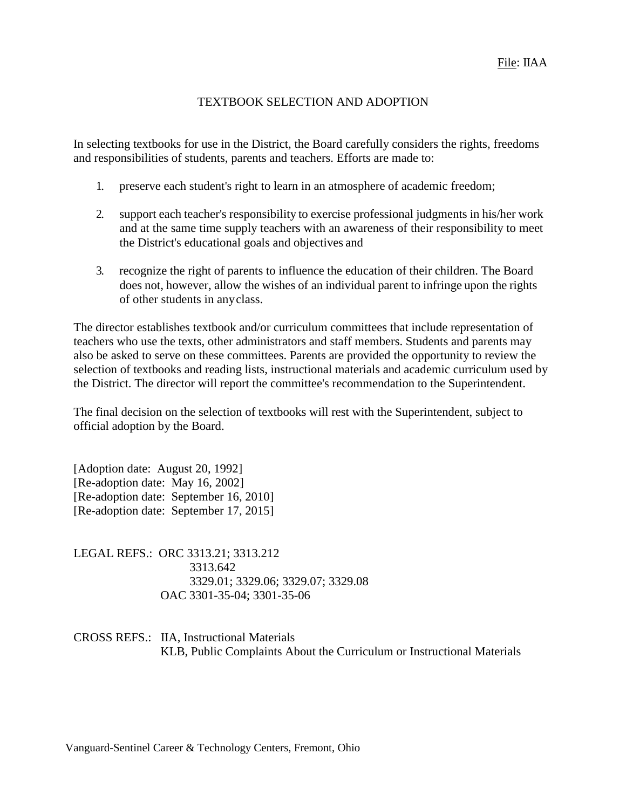#### TEXTBOOK SELECTION AND ADOPTION

In selecting textbooks for use in the District, the Board carefully considers the rights, freedoms and responsibilities of students, parents and teachers. Efforts are made to:

- 1. preserve each student's right to learn in an atmosphere of academic freedom;
- 2. support each teacher's responsibility to exercise professional judgments in his/her work and at the same time supply teachers with an awareness of their responsibility to meet the District's educational goals and objectives and
- 3. recognize the right of parents to influence the education of their children. The Board does not, however, allow the wishes of an individual parent to infringe upon the rights of other students in anyclass.

The director establishes textbook and/or curriculum committees that include representation of teachers who use the texts, other administrators and staff members. Students and parents may also be asked to serve on these committees. Parents are provided the opportunity to review the selection of textbooks and reading lists, instructional materials and academic curriculum used by the District. The director will report the committee's recommendation to the Superintendent.

The final decision on the selection of textbooks will rest with the Superintendent, subject to official adoption by the Board.

[Adoption date: August 20, 1992] [Re-adoption date: May 16, 2002] [Re-adoption date: September 16, 2010] [Re-adoption date: September 17, 2015]

LEGAL REFS.: ORC 3313.21; 3313.212 3313.642 3329.01; 3329.06; 3329.07; 3329.08 OAC 3301-35-04; 3301-35-06

CROSS REFS.: IIA, Instructional Materials KLB, Public Complaints About the Curriculum or Instructional Materials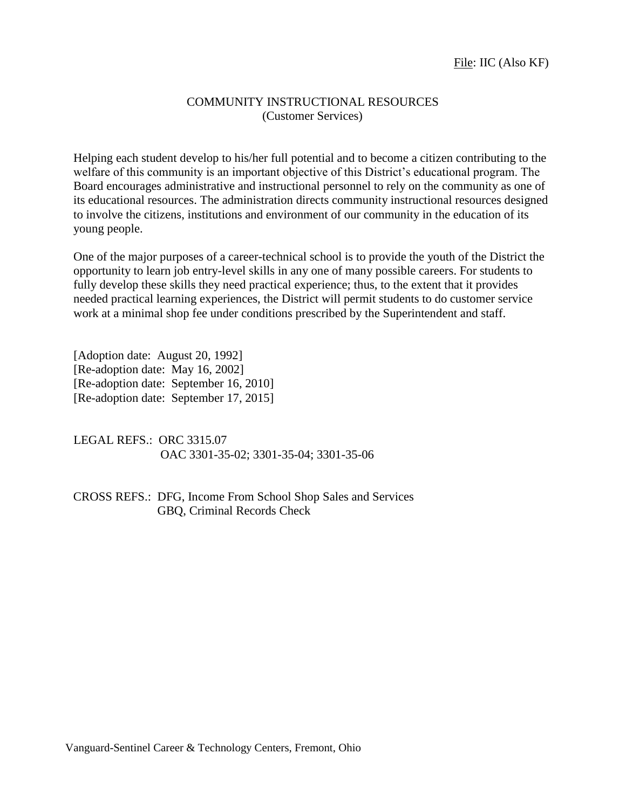#### COMMUNITY INSTRUCTIONAL RESOURCES (Customer Services)

Helping each student develop to his/her full potential and to become a citizen contributing to the welfare of this community is an important objective of this District's educational program. The Board encourages administrative and instructional personnel to rely on the community as one of its educational resources. The administration directs community instructional resources designed to involve the citizens, institutions and environment of our community in the education of its young people.

One of the major purposes of a career-technical school is to provide the youth of the District the opportunity to learn job entry-level skills in any one of many possible careers. For students to fully develop these skills they need practical experience; thus, to the extent that it provides needed practical learning experiences, the District will permit students to do customer service work at a minimal shop fee under conditions prescribed by the Superintendent and staff.

[Adoption date: August 20, 1992] [Re-adoption date: May 16, 2002] [Re-adoption date: September 16, 2010] [Re-adoption date: September 17, 2015]

LEGAL REFS.: ORC 3315.07 OAC 3301-35-02; 3301-35-04; 3301-35-06

CROSS REFS.: DFG, Income From School Shop Sales and Services GBQ, Criminal Records Check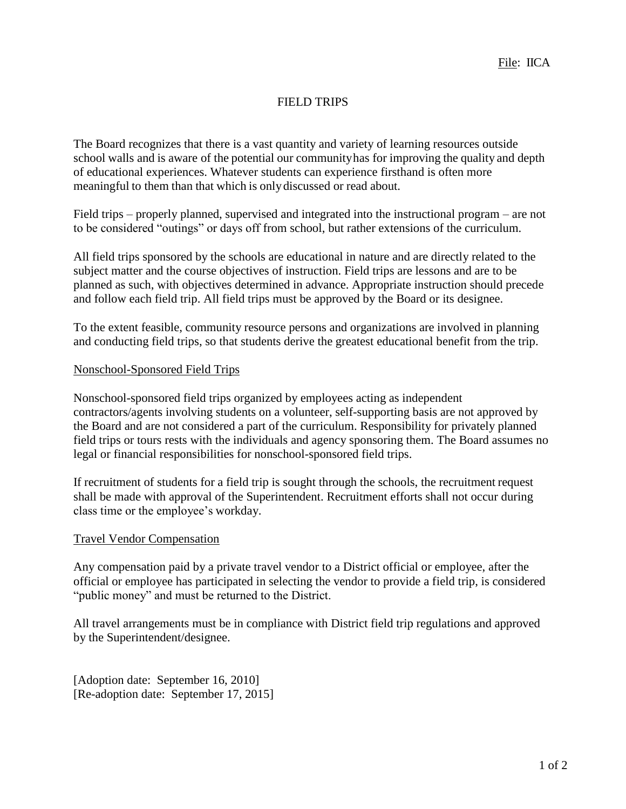## FIELD TRIPS

The Board recognizes that there is a vast quantity and variety of learning resources outside school walls and is aware of the potential our communityhas for improving the quality and depth of educational experiences. Whatever students can experience firsthand is often more meaningful to them than that which is onlydiscussed or read about.

Field trips – properly planned, supervised and integrated into the instructional program – are not to be considered "outings" or days off from school, but rather extensions of the curriculum.

All field trips sponsored by the schools are educational in nature and are directly related to the subject matter and the course objectives of instruction. Field trips are lessons and are to be planned as such, with objectives determined in advance. Appropriate instruction should precede and follow each field trip. All field trips must be approved by the Board or its designee.

To the extent feasible, community resource persons and organizations are involved in planning and conducting field trips, so that students derive the greatest educational benefit from the trip.

#### Nonschool-Sponsored Field Trips

Nonschool-sponsored field trips organized by employees acting as independent contractors/agents involving students on a volunteer, self-supporting basis are not approved by the Board and are not considered a part of the curriculum. Responsibility for privately planned field trips or tours rests with the individuals and agency sponsoring them. The Board assumes no legal or financial responsibilities for nonschool-sponsored field trips.

If recruitment of students for a field trip is sought through the schools, the recruitment request shall be made with approval of the Superintendent. Recruitment efforts shall not occur during class time or the employee's workday.

#### Travel Vendor Compensation

Any compensation paid by a private travel vendor to a District official or employee, after the official or employee has participated in selecting the vendor to provide a field trip, is considered "public money" and must be returned to the District.

All travel arrangements must be in compliance with District field trip regulations and approved by the Superintendent/designee.

[Adoption date: September 16, 2010] [Re-adoption date: September 17, 2015]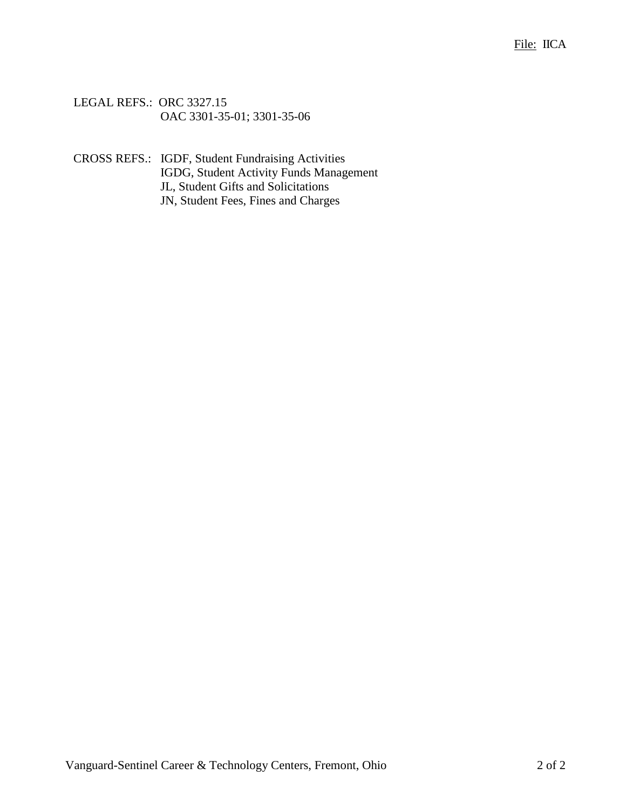LEGAL REFS.: ORC 3327.15 OAC 3301-35-01; 3301-35-06

CROSS REFS.: IGDF, Student Fundraising Activities IGDG, Student Activity Funds Management JL, Student Gifts and Solicitations JN, Student Fees, Fines and Charges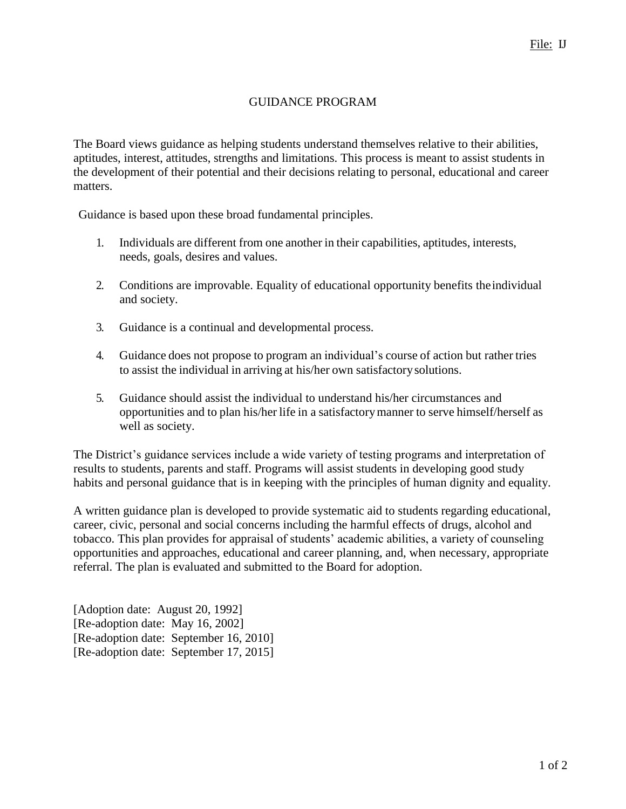## GUIDANCE PROGRAM

The Board views guidance as helping students understand themselves relative to their abilities, aptitudes, interest, attitudes, strengths and limitations. This process is meant to assist students in the development of their potential and their decisions relating to personal, educational and career matters.

Guidance is based upon these broad fundamental principles.

- 1. Individuals are different from one another in their capabilities, aptitudes, interests, needs, goals, desires and values.
- 2. Conditions are improvable. Equality of educational opportunity benefits theindividual and society.
- 3. Guidance is a continual and developmental process.
- 4. Guidance does not propose to program an individual's course of action but rather tries to assist the individual in arriving at his/her own satisfactorysolutions.
- 5. Guidance should assist the individual to understand his/her circumstances and opportunities and to plan his/her life in a satisfactorymanner to serve himself/herself as well as society.

The District's guidance services include a wide variety of testing programs and interpretation of results to students, parents and staff. Programs will assist students in developing good study habits and personal guidance that is in keeping with the principles of human dignity and equality.

A written guidance plan is developed to provide systematic aid to students regarding educational, career, civic, personal and social concerns including the harmful effects of drugs, alcohol and tobacco. This plan provides for appraisal of students' academic abilities, a variety of counseling opportunities and approaches, educational and career planning, and, when necessary, appropriate referral. The plan is evaluated and submitted to the Board for adoption.

[Adoption date: August 20, 1992] [Re-adoption date: May 16, 2002] [Re-adoption date: September 16, 2010] [Re-adoption date: September 17, 2015]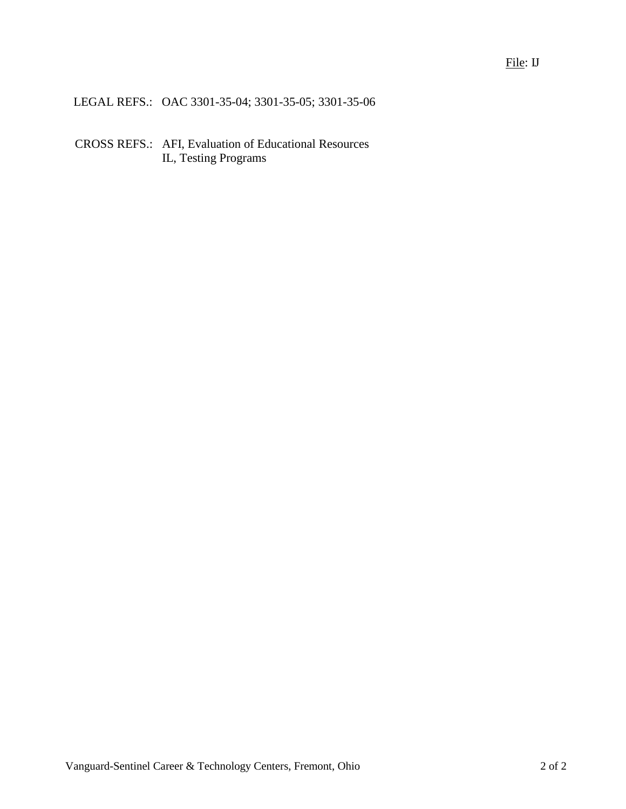LEGAL REFS.: OAC 3301-35-04; 3301-35-05; 3301-35-06

CROSS REFS.: AFI, Evaluation of Educational Resources IL, Testing Programs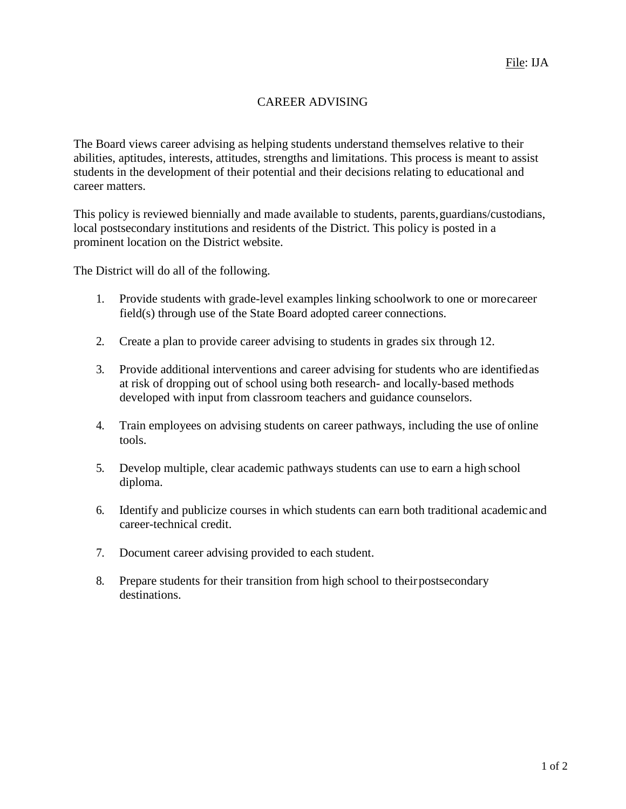## CAREER ADVISING

The Board views career advising as helping students understand themselves relative to their abilities, aptitudes, interests, attitudes, strengths and limitations. This process is meant to assist students in the development of their potential and their decisions relating to educational and career matters.

This policy is reviewed biennially and made available to students, parents,guardians/custodians, local postsecondary institutions and residents of the District. This policy is posted in a prominent location on the District website.

The District will do all of the following.

- 1. Provide students with grade-level examples linking schoolwork to one or morecareer field(s) through use of the State Board adopted career connections.
- 2. Create a plan to provide career advising to students in grades six through 12.
- 3. Provide additional interventions and career advising for students who are identifiedas at risk of dropping out of school using both research- and locally-based methods developed with input from classroom teachers and guidance counselors.
- 4. Train employees on advising students on career pathways, including the use of online tools.
- 5. Develop multiple, clear academic pathways students can use to earn a high school diploma.
- 6. Identify and publicize courses in which students can earn both traditional academic and career-technical credit.
- 7. Document career advising provided to each student.
- 8. Prepare students for their transition from high school to theirpostsecondary destinations.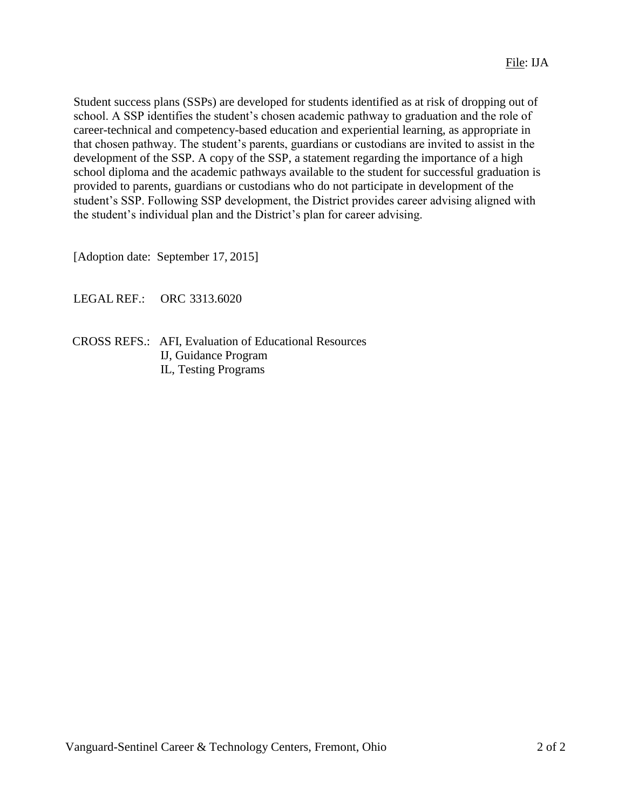Student success plans (SSPs) are developed for students identified as at risk of dropping out of school. A SSP identifies the student's chosen academic pathway to graduation and the role of career-technical and competency-based education and experiential learning, as appropriate in that chosen pathway. The student's parents, guardians or custodians are invited to assist in the development of the SSP. A copy of the SSP, a statement regarding the importance of a high school diploma and the academic pathways available to the student for successful graduation is provided to parents, guardians or custodians who do not participate in development of the student's SSP. Following SSP development, the District provides career advising aligned with the student's individual plan and the District's plan for career advising.

[Adoption date: September 17, 2015]

LEGAL REF.: ORC 3313.6020

 CROSS REFS.: AFI, Evaluation of Educational Resources IJ, Guidance Program IL, Testing Programs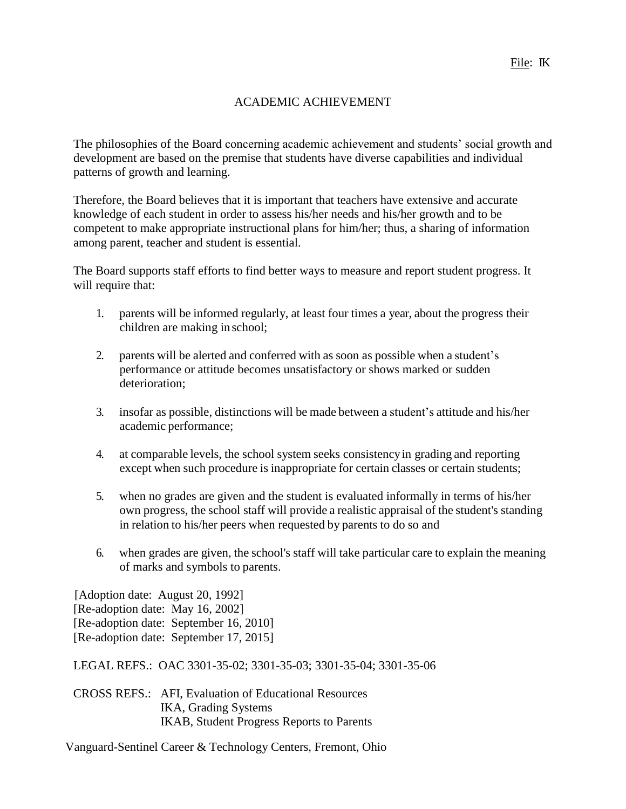## ACADEMIC ACHIEVEMENT

The philosophies of the Board concerning academic achievement and students' social growth and development are based on the premise that students have diverse capabilities and individual patterns of growth and learning.

Therefore, the Board believes that it is important that teachers have extensive and accurate knowledge of each student in order to assess his/her needs and his/her growth and to be competent to make appropriate instructional plans for him/her; thus, a sharing of information among parent, teacher and student is essential.

The Board supports staff efforts to find better ways to measure and report student progress. It will require that:

- 1. parents will be informed regularly, at least four times a year, about the progress their children are making in school;
- 2. parents will be alerted and conferred with as soon as possible when a student's performance or attitude becomes unsatisfactory or shows marked or sudden deterioration;
- 3. insofar as possible, distinctions will be made between a student's attitude and his/her academic performance;
- 4. at comparable levels, the school system seeks consistencyin grading and reporting except when such procedure is inappropriate for certain classes or certain students;
- 5. when no grades are given and the student is evaluated informally in terms of his/her own progress, the school staff will provide a realistic appraisal of the student's standing in relation to his/her peers when requested by parents to do so and
- 6. when grades are given, the school's staff will take particular care to explain the meaning of marks and symbols to parents.

[Adoption date: August 20, 1992] [Re-adoption date: May 16, 2002] [Re-adoption date: September 16, 2010] [Re-adoption date: September 17, 2015]

LEGAL REFS.: OAC 3301-35-02; 3301-35-03; 3301-35-04; 3301-35-06

CROSS REFS.: AFI, Evaluation of Educational Resources IKA, Grading Systems IKAB, Student Progress Reports to Parents

Vanguard-Sentinel Career & Technology Centers, Fremont, Ohio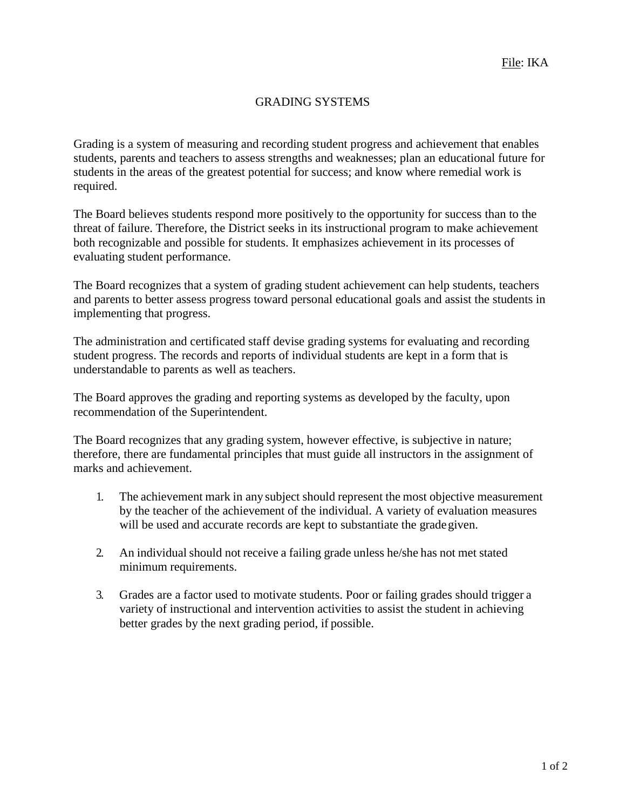## GRADING SYSTEMS

Grading is a system of measuring and recording student progress and achievement that enables students, parents and teachers to assess strengths and weaknesses; plan an educational future for students in the areas of the greatest potential for success; and know where remedial work is required.

The Board believes students respond more positively to the opportunity for success than to the threat of failure. Therefore, the District seeks in its instructional program to make achievement both recognizable and possible for students. It emphasizes achievement in its processes of evaluating student performance.

The Board recognizes that a system of grading student achievement can help students, teachers and parents to better assess progress toward personal educational goals and assist the students in implementing that progress.

The administration and certificated staff devise grading systems for evaluating and recording student progress. The records and reports of individual students are kept in a form that is understandable to parents as well as teachers.

The Board approves the grading and reporting systems as developed by the faculty, upon recommendation of the Superintendent.

The Board recognizes that any grading system, however effective, is subjective in nature; therefore, there are fundamental principles that must guide all instructors in the assignment of marks and achievement.

- 1. The achievement mark in any subject should represent the most objective measurement by the teacher of the achievement of the individual. A variety of evaluation measures will be used and accurate records are kept to substantiate the gradegiven.
- 2. An individual should not receive a failing grade unless he/she has not met stated minimum requirements.
- 3. Grades are a factor used to motivate students. Poor or failing grades should trigger a variety of instructional and intervention activities to assist the student in achieving better grades by the next grading period, if possible.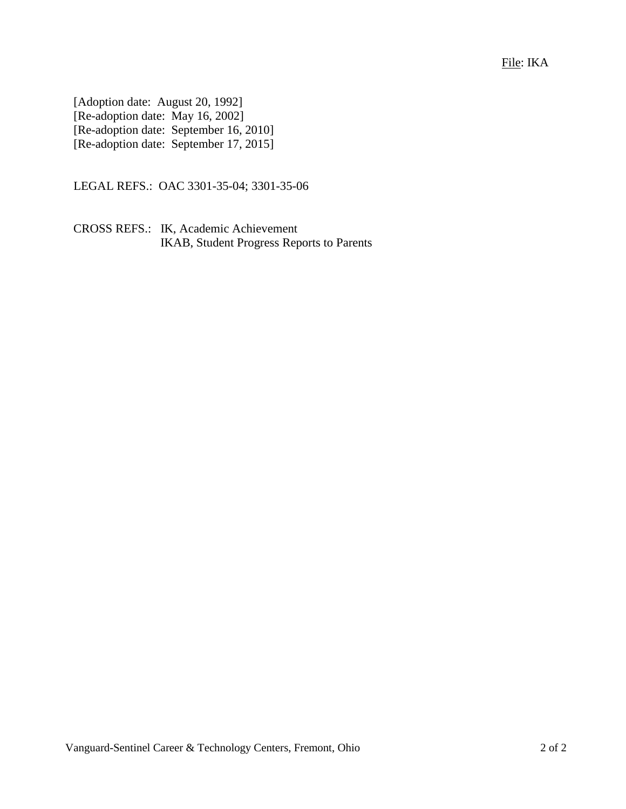File: IKA

[Adoption date: August 20, 1992] [Re-adoption date: May 16, 2002] [Re-adoption date: September 16, 2010] [Re-adoption date: September 17, 2015]

LEGAL REFS.: OAC 3301-35-04; 3301-35-06

CROSS REFS.: IK, Academic Achievement IKAB, Student Progress Reports to Parents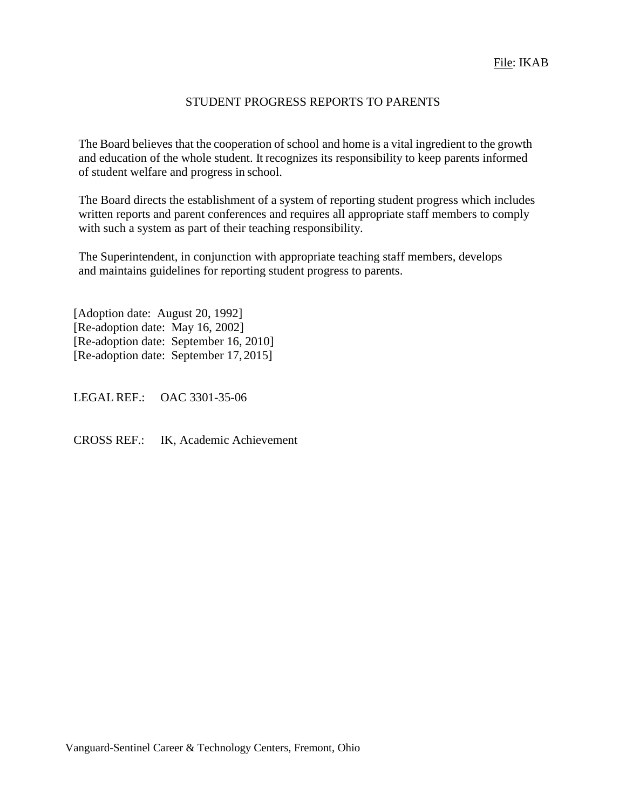## STUDENT PROGRESS REPORTS TO PARENTS

The Board believes that the cooperation of school and home is a vital ingredient to the growth and education of the whole student. It recognizes its responsibility to keep parents informed of student welfare and progress in school.

The Board directs the establishment of a system of reporting student progress which includes written reports and parent conferences and requires all appropriate staff members to comply with such a system as part of their teaching responsibility.

The Superintendent, in conjunction with appropriate teaching staff members, develops and maintains guidelines for reporting student progress to parents.

[Adoption date: August 20, 1992] [Re-adoption date: May 16, 2002] [Re-adoption date: September 16, 2010] [Re-adoption date: September 17, 2015]

LEGAL REF.: OAC 3301-35-06

CROSS REF.: IK, Academic Achievement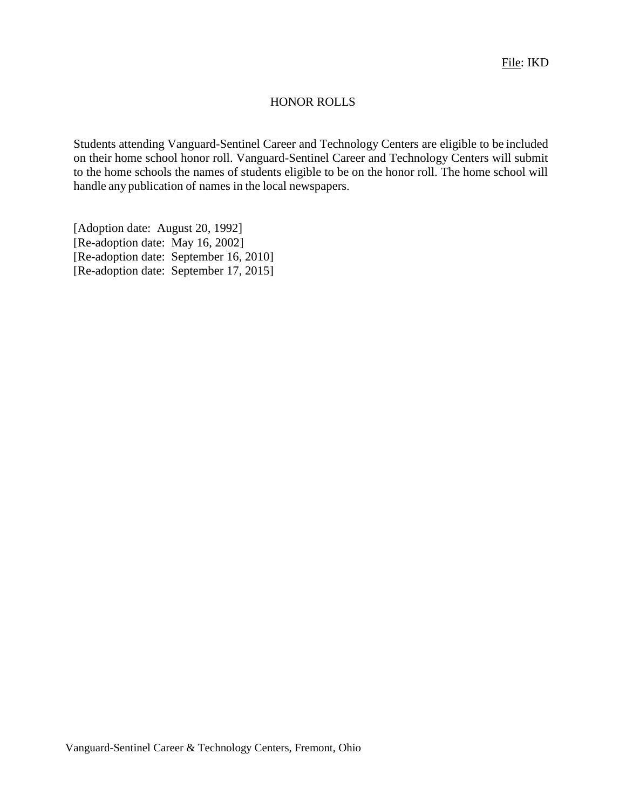#### HONOR ROLLS

Students attending Vanguard-Sentinel Career and Technology Centers are eligible to be included on their home school honor roll. Vanguard-Sentinel Career and Technology Centers will submit to the home schools the names of students eligible to be on the honor roll. The home school will handle any publication of names in the local newspapers.

[Adoption date: August 20, 1992] [Re-adoption date: May 16, 2002] [Re-adoption date: September 16, 2010] [Re-adoption date: September 17, 2015]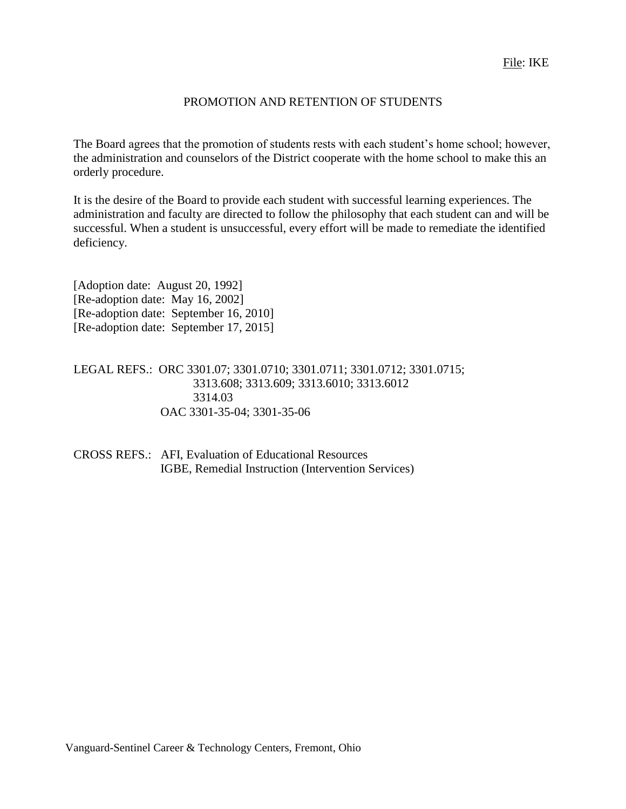#### PROMOTION AND RETENTION OF STUDENTS

The Board agrees that the promotion of students rests with each student's home school; however, the administration and counselors of the District cooperate with the home school to make this an orderly procedure.

It is the desire of the Board to provide each student with successful learning experiences. The administration and faculty are directed to follow the philosophy that each student can and will be successful. When a student is unsuccessful, every effort will be made to remediate the identified deficiency.

[Adoption date: August 20, 1992] [Re-adoption date: May 16, 2002] [Re-adoption date: September 16, 2010] [Re-adoption date: September 17, 2015]

LEGAL REFS.: ORC 3301.07; 3301.0710; 3301.0711; 3301.0712; 3301.0715; 3313.608; 3313.609; 3313.6010; 3313.6012 3314.03 OAC 3301-35-04; 3301-35-06

CROSS REFS.: AFI, Evaluation of Educational Resources IGBE, Remedial Instruction (Intervention Services)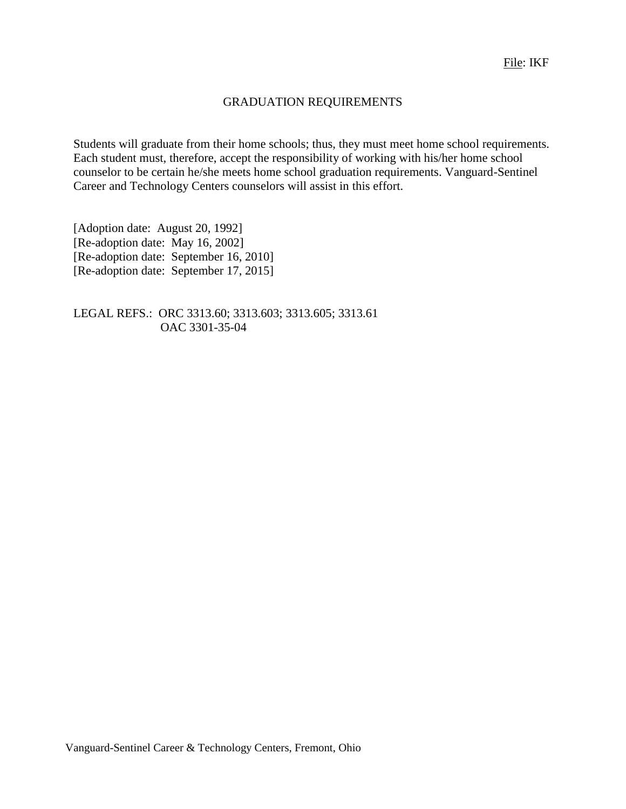## GRADUATION REQUIREMENTS

Students will graduate from their home schools; thus, they must meet home school requirements. Each student must, therefore, accept the responsibility of working with his/her home school counselor to be certain he/she meets home school graduation requirements. Vanguard-Sentinel Career and Technology Centers counselors will assist in this effort.

[Adoption date: August 20, 1992] [Re-adoption date: May 16, 2002] [Re-adoption date: September 16, 2010] [Re-adoption date: September 17, 2015]

LEGAL REFS.: ORC 3313.60; 3313.603; 3313.605; 3313.61 OAC 3301-35-04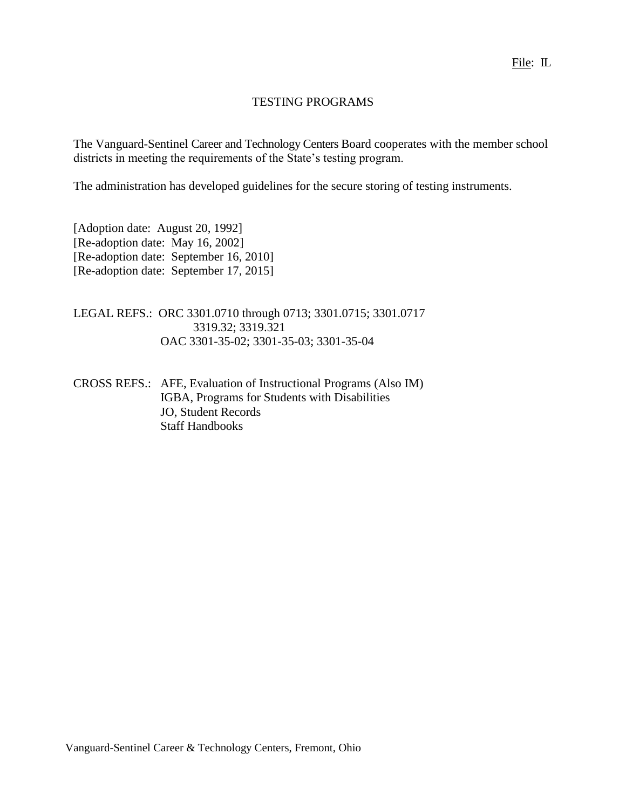#### TESTING PROGRAMS

The Vanguard-Sentinel Career and Technology Centers Board cooperates with the member school districts in meeting the requirements of the State's testing program.

The administration has developed guidelines for the secure storing of testing instruments.

[Adoption date: August 20, 1992] [Re-adoption date: May 16, 2002] [Re-adoption date: September 16, 2010] [Re-adoption date: September 17, 2015]

LEGAL REFS.: ORC 3301.0710 through 0713; 3301.0715; 3301.0717 3319.32; 3319.321 OAC 3301-35-02; 3301-35-03; 3301-35-04

CROSS REFS.: AFE, Evaluation of Instructional Programs (Also IM) IGBA, Programs for Students with Disabilities JO, Student Records Staff Handbooks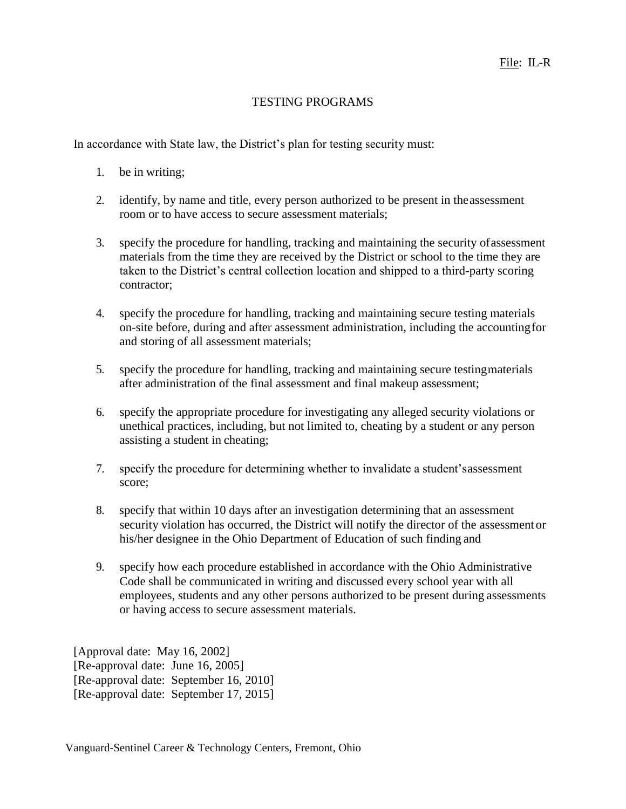## TESTING PROGRAMS

In accordance with State law, the District's plan for testing security must:

- 1. be in writing;
- 2. identify, by name and title, every person authorized to be present in theassessment room or to have access to secure assessment materials;
- 3. specify the procedure for handling, tracking and maintaining the security ofassessment materials from the time they are received by the District or school to the time they are taken to the District's central collection location and shipped to a third-party scoring contractor;
- 4. specify the procedure for handling, tracking and maintaining secure testing materials on-site before, during and after assessment administration, including the accountingfor and storing of all assessment materials;
- 5. specify the procedure for handling, tracking and maintaining secure testingmaterials after administration of the final assessment and final makeup assessment;
- 6. specify the appropriate procedure for investigating any alleged security violations or unethical practices, including, but not limited to, cheating by a student or any person assisting a student in cheating;
- 7. specify the procedure for determining whether to invalidate a student'sassessment score;
- 8. specify that within 10 days after an investigation determining that an assessment security violation has occurred, the District will notify the director of the assessment or his/her designee in the Ohio Department of Education of such finding and
- 9. specify how each procedure established in accordance with the Ohio Administrative Code shall be communicated in writing and discussed every school year with all employees, students and any other persons authorized to be present during assessments or having access to secure assessment materials.

[Approval date: May 16, 2002] [Re-approval date: June 16, 2005] [Re-approval date: September 16, 2010] [Re-approval date: September 17, 2015]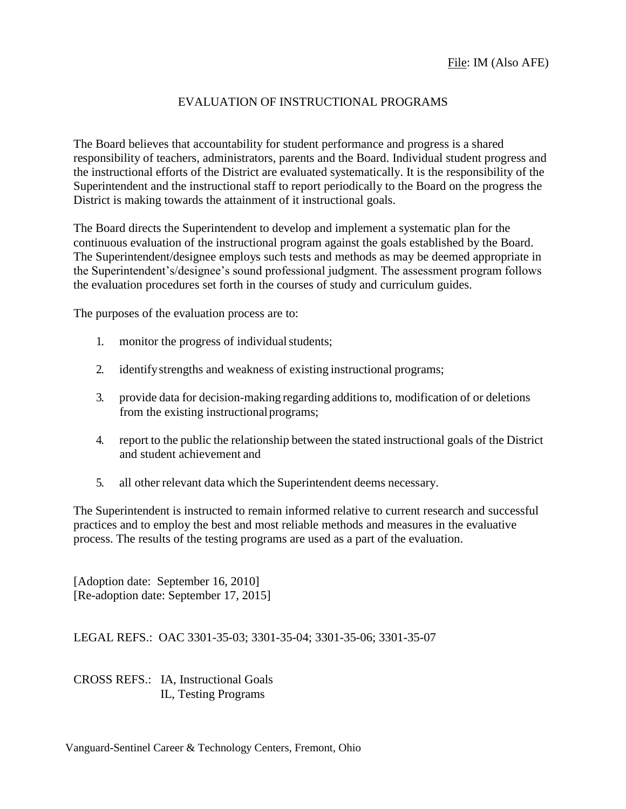## EVALUATION OF INSTRUCTIONAL PROGRAMS

The Board believes that accountability for student performance and progress is a shared responsibility of teachers, administrators, parents and the Board. Individual student progress and the instructional efforts of the District are evaluated systematically. It is the responsibility of the Superintendent and the instructional staff to report periodically to the Board on the progress the District is making towards the attainment of it instructional goals.

The Board directs the Superintendent to develop and implement a systematic plan for the continuous evaluation of the instructional program against the goals established by the Board. The Superintendent/designee employs such tests and methods as may be deemed appropriate in the Superintendent's/designee's sound professional judgment. The assessment program follows the evaluation procedures set forth in the courses of study and curriculum guides.

The purposes of the evaluation process are to:

- 1. monitor the progress of individual students;
- 2. identifystrengths and weakness of existing instructional programs;
- 3. provide data for decision-making regarding additions to, modification of or deletions from the existing instructionalprograms;
- 4. report to the public the relationship between the stated instructional goals of the District and student achievement and
- 5. all other relevant data which the Superintendent deems necessary.

The Superintendent is instructed to remain informed relative to current research and successful practices and to employ the best and most reliable methods and measures in the evaluative process. The results of the testing programs are used as a part of the evaluation.

[Adoption date: September 16, 2010] [Re-adoption date: September 17, 2015]

LEGAL REFS.: OAC 3301-35-03; 3301-35-04; 3301-35-06; 3301-35-07

CROSS REFS.: IA, Instructional Goals IL, Testing Programs

Vanguard-Sentinel Career & Technology Centers, Fremont, Ohio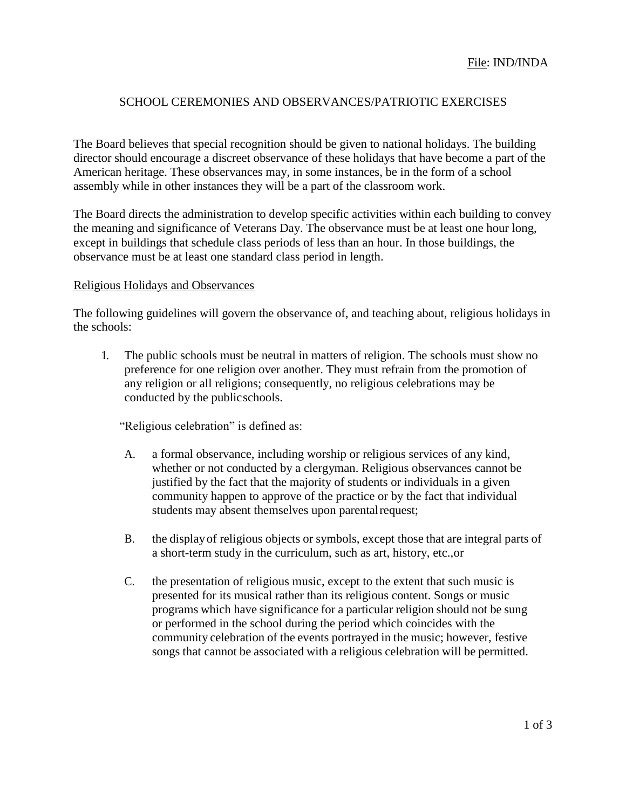#### SCHOOL CEREMONIES AND OBSERVANCES/PATRIOTIC EXERCISES

The Board believes that special recognition should be given to national holidays. The building director should encourage a discreet observance of these holidays that have become a part of the American heritage. These observances may, in some instances, be in the form of a school assembly while in other instances they will be a part of the classroom work.

The Board directs the administration to develop specific activities within each building to convey the meaning and significance of Veterans Day. The observance must be at least one hour long, except in buildings that schedule class periods of less than an hour. In those buildings, the observance must be at least one standard class period in length.

#### Religious Holidays and Observances

The following guidelines will govern the observance of, and teaching about, religious holidays in the schools:

1. The public schools must be neutral in matters of religion. The schools must show no preference for one religion over another. They must refrain from the promotion of any religion or all religions; consequently, no religious celebrations may be conducted by the publicschools.

"Religious celebration" is defined as:

- A. a formal observance, including worship or religious services of any kind, whether or not conducted by a clergyman. Religious observances cannot be justified by the fact that the majority of students or individuals in a given community happen to approve of the practice or by the fact that individual students may absent themselves upon parentalrequest;
- B. the displayof religious objects or symbols, except those that are integral parts of a short-term study in the curriculum, such as art, history, etc.,or
- C. the presentation of religious music, except to the extent that such music is presented for its musical rather than its religious content. Songs or music programs which have significance for a particular religion should not be sung or performed in the school during the period which coincides with the community celebration of the events portrayed in the music; however, festive songs that cannot be associated with a religious celebration will be permitted.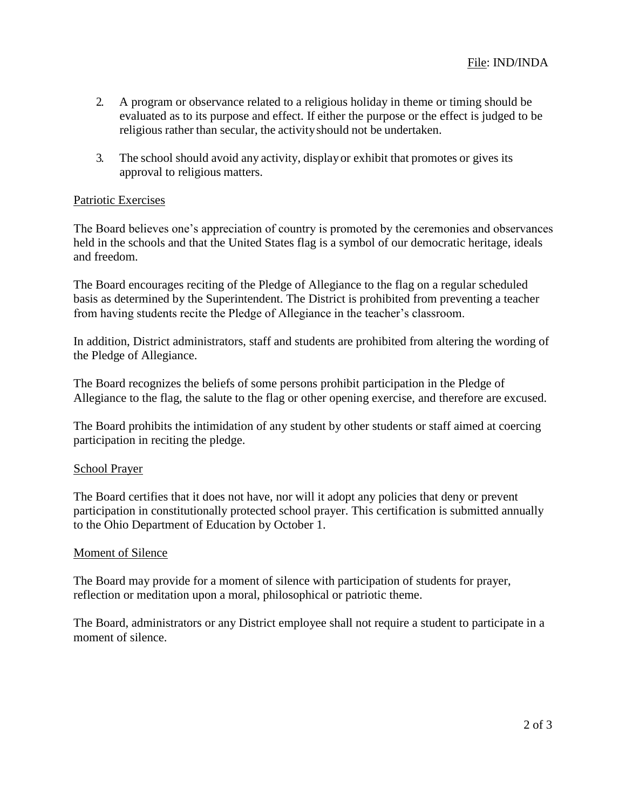- 2. A program or observance related to a religious holiday in theme or timing should be evaluated as to its purpose and effect. If either the purpose or the effect is judged to be religious rather than secular, the activityshould not be undertaken.
- 3. The school should avoid any activity, displayor exhibit that promotes or gives its approval to religious matters.

#### Patriotic Exercises

The Board believes one's appreciation of country is promoted by the ceremonies and observances held in the schools and that the United States flag is a symbol of our democratic heritage, ideals and freedom.

The Board encourages reciting of the Pledge of Allegiance to the flag on a regular scheduled basis as determined by the Superintendent. The District is prohibited from preventing a teacher from having students recite the Pledge of Allegiance in the teacher's classroom.

In addition, District administrators, staff and students are prohibited from altering the wording of the Pledge of Allegiance.

The Board recognizes the beliefs of some persons prohibit participation in the Pledge of Allegiance to the flag, the salute to the flag or other opening exercise, and therefore are excused.

The Board prohibits the intimidation of any student by other students or staff aimed at coercing participation in reciting the pledge.

#### School Prayer

The Board certifies that it does not have, nor will it adopt any policies that deny or prevent participation in constitutionally protected school prayer. This certification is submitted annually to the Ohio Department of Education by October 1.

#### Moment of Silence

The Board may provide for a moment of silence with participation of students for prayer, reflection or meditation upon a moral, philosophical or patriotic theme.

The Board, administrators or any District employee shall not require a student to participate in a moment of silence.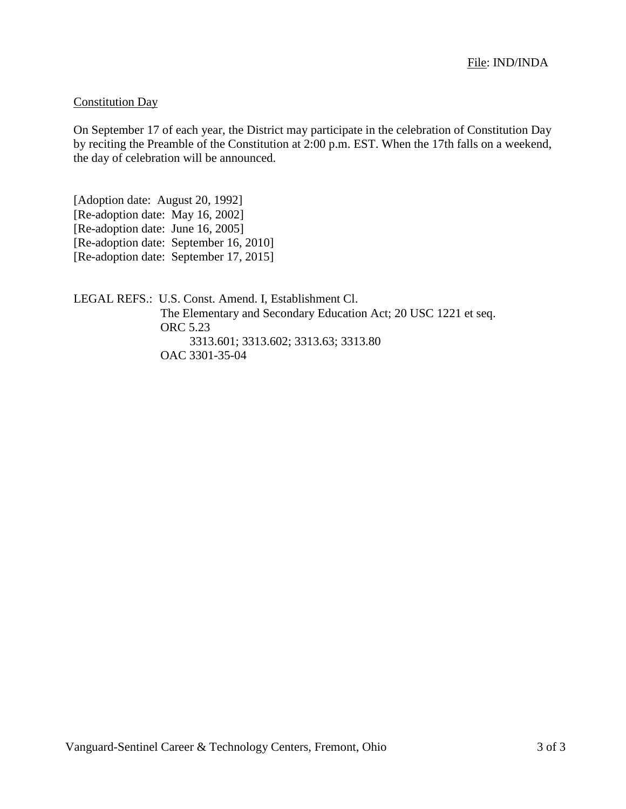#### Constitution Day

On September 17 of each year, the District may participate in the celebration of Constitution Day by reciting the Preamble of the Constitution at 2:00 p.m. EST. When the 17th falls on a weekend, the day of celebration will be announced.

[Adoption date: August 20, 1992] [Re-adoption date: May 16, 2002] [Re-adoption date: June 16, 2005] [Re-adoption date: September 16, 2010] [Re-adoption date: September 17, 2015]

LEGAL REFS.: U.S. Const. Amend. I, Establishment Cl. The Elementary and Secondary Education Act; 20 USC 1221 et seq. ORC 5.23 3313.601; 3313.602; 3313.63; 3313.80 OAC 3301-35-04